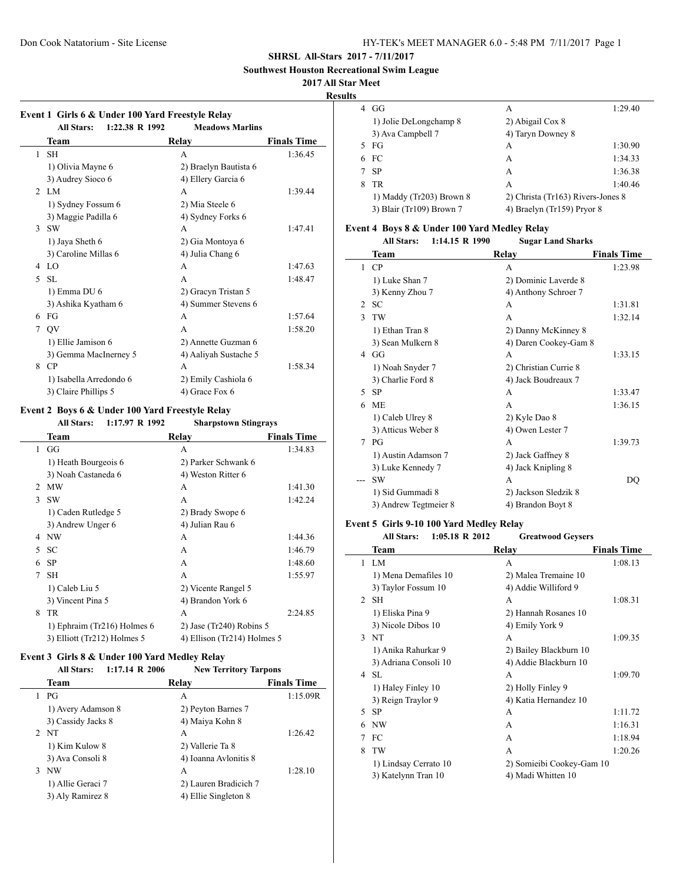**Southwest Houston Recreational Swim League**

**2017 All Star Meet**

#### **Results**

| Event 1 Girls 6 & Under 100 Yard Freestyle Relay |                        |                    |  |
|--------------------------------------------------|------------------------|--------------------|--|
| <b>All Stars:</b>                                | <b>Meadows Marlins</b> |                    |  |
| Team                                             | Relay                  | <b>Finals Time</b> |  |
| <b>SH</b>                                        | A                      | 1:36.45            |  |
| 1) Olivia Mayne 6                                | 2) Braelyn Bautista 6  |                    |  |
| 3) Audrey Sioco 6                                | 4) Ellery Garcia 6     |                    |  |
| <b>LM</b>                                        | A                      | 1:39.44            |  |
| 1) Sydney Fossum 6                               | 2) Mia Steele 6        |                    |  |
| 3) Maggie Padilla 6                              | 4) Sydney Forks 6      |                    |  |
| <b>SW</b>                                        | A                      | 1:47.41            |  |
| 1) Jaya Sheth 6                                  | 2) Gia Montoya 6       |                    |  |
| 3) Caroline Millas 6                             | 4) Julia Chang 6       |                    |  |
| LO                                               | A                      | 1:47.63            |  |
| <b>SL</b>                                        | A                      | 1:48.47            |  |
| 1) Emma DU 6                                     | 2) Gracyn Tristan 5    |                    |  |
| 3) Ashika Kyatham 6                              | 4) Summer Stevens 6    |                    |  |
| FG                                               | A                      | 1:57.64            |  |
| OV                                               | A                      | 1:58.20            |  |
| 1) Ellie Jamison 6                               | 2) Annette Guzman 6    |                    |  |
| 3) Gemma MacInerney 5                            | 4) Aaliyah Sustache 5  |                    |  |
| CP                                               | A                      | 1:58.34            |  |
| 1) Isabella Arredondo 6                          | 2) Emily Cashiola 6    |                    |  |
| 3) Claire Phillips 5                             | 4) Grace Fox 6         |                    |  |
|                                                  |                        | 1:22.38 R 1992     |  |

# **Event 2 Boys 6 & Under 100 Yard Freestyle Relay**

|               | 1:17.97 R 1992<br><b>All Stars:</b> | <b>Sharpstown Stingrays</b> |                    |
|---------------|-------------------------------------|-----------------------------|--------------------|
|               | Team                                | Relay                       | <b>Finals Time</b> |
| 1             | GG                                  | A                           | 1:34.83            |
|               | 1) Heath Bourgeois 6                | 2) Parker Schwank 6         |                    |
|               | 3) Noah Castaneda 6                 | 4) Weston Ritter 6          |                    |
| $\mathcal{L}$ | <b>MW</b>                           | A                           | 1:41.30            |
| 3             | <b>SW</b>                           | A                           | 1:42.24            |
|               | 1) Caden Rutledge 5                 | 2) Brady Swope 6            |                    |
|               | 3) Andrew Unger 6                   | 4) Julian Rau 6             |                    |
| 4             | NW                                  | A                           | 1:44.36            |
| 5             | <b>SC</b>                           | A                           | 1:46.79            |
| 6             | <b>SP</b>                           | A                           | 1:48.60            |
| 7             | <b>SH</b>                           | A                           | 1:55.97            |
|               | 1) Caleb Liu 5                      | 2) Vicente Rangel 5         |                    |
|               | 3) Vincent Pina 5                   | 4) Brandon York 6           |                    |
| 8             | TR                                  | A                           | 2:24.85            |
|               | 1) Ephraim (Tr216) Holmes 6         | 2) Jase (Tr240) Robins 5    |                    |
|               | 3) Elliott (Tr212) Holmes 5         | 4) Ellison (Tr214) Holmes 5 |                    |

#### **Event 3 Girls 8 & Under 100 Yard Medley Relay**

| <b>All Stars:</b>  | <b>New Territory Tarpons</b> |                           |
|--------------------|------------------------------|---------------------------|
| Team               | Relay                        | <b>Finals Time</b>        |
| PG                 | А                            | 1:15.09R                  |
| 1) Avery Adamson 8 | 2) Peyton Barnes 7           |                           |
| 3) Cassidy Jacks 8 | 4) Maiya Kohn 8              |                           |
| 2 NT               | A                            | 1:26.42                   |
| 1) Kim Kulow 8     | 2) Vallerie Ta 8             |                           |
| 3) Ava Consoli 8   | 4) Ioanna Avlonitis 8        |                           |
| NW                 | A                            | 1:28.10                   |
| 1) Allie Geraci 7  | 2) Lauren Bradicich 7        |                           |
| 3) Aly Ramirez 8   | 4) Ellie Singleton 8         |                           |
|                    |                              | $1:17.14 \text{ R } 2006$ |

| 4 | GG                       | A                                 | 1:29.40 |
|---|--------------------------|-----------------------------------|---------|
|   | 1) Jolie DeLongchamp 8   | 2) Abigail Cox 8                  |         |
|   | 3) Ava Campbell 7        | 4) Taryn Downey 8                 |         |
|   | 5 FG                     | A                                 | 1:30.90 |
|   | 6 FC                     | А                                 | 1:34.33 |
|   | 7 SP                     | A                                 | 1:36.38 |
| 8 | TR                       | A                                 | 1:40.46 |
|   | 1) Maddy (Tr203) Brown 8 | 2) Christa (Tr163) Rivers-Jones 8 |         |
|   | 3) Blair (Tr109) Brown 7 | 4) Braelyn (Tr159) Pryor 8        |         |

## **Event 4 Boys 8 & Under 100 Yard Medley Relay**

|               | <b>All Stars:</b><br>$1:14.15 \text{ R}$ 1990 | <b>Sugar Land Sharks</b> |                    |
|---------------|-----------------------------------------------|--------------------------|--------------------|
|               | <b>Team</b>                                   | Relay                    | <b>Finals Time</b> |
| 1             | CP                                            | A                        | 1:23.98            |
|               | 1) Luke Shan 7                                | 2) Dominic Laverde 8     |                    |
|               | 3) Kenny Zhou 7                               | 4) Anthony Schroer 7     |                    |
| 2             | SС                                            | A                        | 1:31.81            |
| $\mathcal{E}$ | TW                                            | A                        | 1:32.14            |
|               | 1) Ethan Tran 8                               | 2) Danny McKinney 8      |                    |
|               | 3) Sean Mulkern 8                             | 4) Daren Cookey-Gam 8    |                    |
| 4             | GG                                            | A                        | 1:33.15            |
|               | 1) Noah Snyder 7                              | 2) Christian Currie 8    |                    |
|               | 3) Charlie Ford 8                             | 4) Jack Boudreaux 7      |                    |
| 5             | <b>SP</b>                                     | A                        | 1:33.47            |
| 6             | <b>ME</b>                                     | A                        | 1:36.15            |
|               | 1) Caleb Ulrey 8                              | 2) Kyle Dao 8            |                    |
|               | 3) Atticus Weber 8                            | 4) Owen Lester 7         |                    |
| 7             | $P$ G                                         | A                        | 1:39.73            |
|               | 1) Austin Adamson 7                           | 2) Jack Gaffney 8        |                    |
|               | 3) Luke Kennedy 7                             | 4) Jack Knipling 8       |                    |
|               | <b>SW</b>                                     | A                        | DQ                 |
|               | 1) Sid Gummadi 8                              | 2) Jackson Sledzik 8     |                    |
|               | 3) Andrew Tegtmeier 8                         | 4) Brandon Boyt 8        |                    |

#### **Event 5 Girls 9-10 100 Yard Medley Relay**

 $\frac{1}{2}$ 

|                | $1:05.18$ R $2012$<br><b>All Stars:</b> | <b>Greatwood Geysers</b>  |                    |
|----------------|-----------------------------------------|---------------------------|--------------------|
|                | Team                                    | Relay                     | <b>Finals Time</b> |
|                | $1$ LM                                  | A                         | 1:08.13            |
|                | 1) Mena Demafiles 10                    | 2) Malea Tremaine 10      |                    |
|                | 3) Taylor Fossum 10                     | 4) Addie Williford 9      |                    |
| $\mathfrak{D}$ | <b>SH</b>                               | A                         | 1:08.31            |
|                | 1) Eliska Pina 9                        | 2) Hannah Rosanes 10      |                    |
|                | 3) Nicole Dibos 10                      | 4) Emily York 9           |                    |
|                | 3 NT                                    | A                         | 1:09.35            |
|                | 1) Anika Rahurkar 9                     | 2) Bailey Blackburn 10    |                    |
|                | 3) Adriana Consoli 10                   | 4) Addie Blackburn 10     |                    |
| 4              | -SL                                     | A                         | 1:09.70            |
|                | 1) Haley Finley 10                      | 2) Holly Finley 9         |                    |
|                | 3) Reign Traylor 9                      | 4) Katia Hernandez 10     |                    |
| 5              | <b>SP</b>                               | A                         | 1:11.72            |
| 6              | NW                                      | $\overline{A}$            | 1:16.31            |
| 7              | FC                                      | A                         | 1:18.94            |
| 8              | TW                                      | A                         | 1:20.26            |
|                | 1) Lindsay Cerrato 10                   | 2) Somieibi Cookey-Gam 10 |                    |
|                | 3) Katelynn Tran 10                     | 4) Madi Whitten 10        |                    |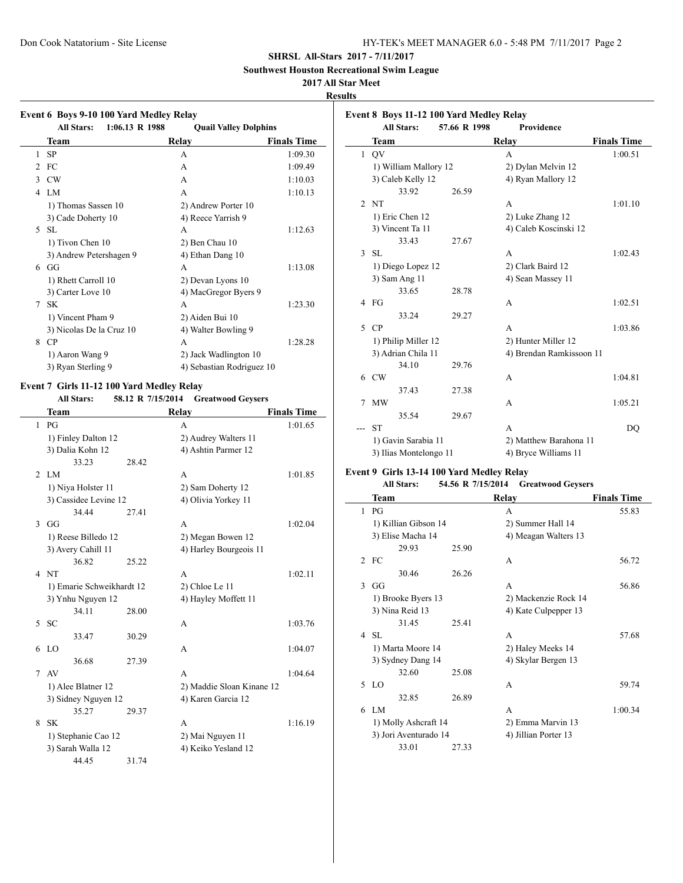**Southwest Houston Recreational Swim League**

# **2017 All Star Meet**

**Results**

|                |                           | <b>Quail Valley Dolphins</b> |                           |
|----------------|---------------------------|------------------------------|---------------------------|
|                | Team                      | Relay                        | <b>Finals Time</b>        |
| $\mathbf{1}$   | <b>SP</b>                 | A                            | 1:09.30                   |
| $\overline{2}$ | FC                        | A                            | 1:09.49                   |
| 3              | <b>CW</b>                 | A                            | 1:10.03                   |
|                | 4 LM                      | A                            | 1:10.13                   |
|                | 1) Thomas Sassen 10       |                              | 2) Andrew Porter 10       |
|                | 3) Cade Doherty 10        |                              | 4) Reece Yarrish 9        |
|                | 5 SL                      | A                            | 1:12.63                   |
|                | 1) Tivon Chen 10          |                              | 2) Ben Chau 10            |
|                | 3) Andrew Petershagen 9   |                              | 4) Ethan Dang 10          |
|                | $6$ GG                    | A                            | 1:13.08                   |
|                | 1) Rhett Carroll 10       |                              | 2) Devan Lyons 10         |
|                | 3) Carter Love 10         |                              | 4) MacGregor Byers 9      |
|                | 7 SK                      | A                            | 1:23.30                   |
|                | 1) Vincent Pham 9         |                              | 2) Aiden Bui 10           |
|                | 3) Nicolas De la Cruz 10  |                              | 4) Walter Bowling 9       |
|                | 8 CP                      | A                            | 1:28.28                   |
|                | 1) Aaron Wang 9           |                              | 2) Jack Wadlington 10     |
|                | 3) Ryan Sterling 9        |                              | 4) Sebastian Rodriguez 10 |
|                | Team                      | Relay                        | <b>Finals Time</b>        |
| $\mathbf{1}$   | PG                        | A                            | 1:01.65                   |
|                | 1) Finley Dalton 12       |                              | 2) Audrey Walters 11      |
|                | 3) Dalia Kohn 12          |                              | 4) Ashtin Parmer 12       |
|                | 33.23                     | 28.42                        |                           |
|                | 2LM                       | A                            | 1:01.85                   |
|                | 1) Niya Holster 11        |                              | 2) Sam Doherty 12         |
|                | 3) Cassidee Levine 12     |                              | 4) Olivia Yorkey 11       |
|                | 34.44                     | 27.41                        |                           |
| 3              | GG                        | A                            | 1:02.04                   |
|                | 1) Reese Billedo 12       |                              | 2) Megan Bowen 12         |
|                | 3) Avery Cahill 11        |                              | 4) Harley Bourgeois 11    |
|                | 36.82                     | 25.22                        |                           |
| 4              | <b>NT</b>                 | A                            | 1:02.11                   |
|                | 1) Emarie Schweikhardt 12 |                              | 2) Chloe Le 11            |
|                | 3) Ynhu Nguyen 12         |                              | 4) Hayley Moffett 11      |
|                | 34.11                     | 28.00                        |                           |
| 5              | <b>SC</b>                 | A                            | 1:03.76                   |
|                | 33.47                     | 30.29                        |                           |
| 6              | L <sub>0</sub>            | A                            | 1:04.07                   |
|                | 36.68                     | 27.39                        |                           |
| 7              | AV                        | A                            | 1:04.64                   |
|                | 1) Alee Blatner 12        |                              | 2) Maddie Sloan Kinane 12 |
|                | 3) Sidney Nguyen 12       |                              | 4) Karen Garcia 12        |
|                | 35.27                     | 29.37                        |                           |
|                | 8 SK                      | A                            | 1:16.19                   |
|                | 1) Stephanie Cao 12       |                              | 2) Mai Nguyen 11          |

3) Sarah Walla 12 4) Keiko Yesland 12

44.45 31.74

| lts            |                                           |                   |                          |                    |
|----------------|-------------------------------------------|-------------------|--------------------------|--------------------|
|                | Event 8 Boys 11-12 100 Yard Medley Relay  |                   |                          |                    |
|                | <b>All Stars:</b>                         | 57.66 R 1998      | Providence               |                    |
|                | Team                                      |                   | Relay                    | <b>Finals Time</b> |
| 1              | QV                                        |                   | A                        | 1:00.51            |
|                | 1) William Mallory 12                     |                   | 2) Dylan Melvin 12       |                    |
|                | 3) Caleb Kelly 12                         |                   | 4) Ryan Mallory 12       |                    |
|                | 33.92                                     | 26.59             |                          |                    |
| $\overline{c}$ | <b>NT</b>                                 |                   | A                        | 1:01.10            |
|                | 1) Eric Chen 12                           |                   | 2) Luke Zhang 12         |                    |
|                | 3) Vincent Ta 11                          |                   | 4) Caleb Koscinski 12    |                    |
|                | 33.43                                     | 27.67             |                          |                    |
| 3              | <b>SL</b>                                 |                   | A                        | 1:02.43            |
|                | 1) Diego Lopez 12                         |                   | 2) Clark Baird 12        |                    |
|                | 3) Sam Ang 11                             |                   | 4) Sean Massey 11        |                    |
|                | 33.65                                     | 28.78             |                          |                    |
|                | $4$ FG                                    |                   | А                        | 1:02.51            |
|                | 33.24                                     | 29.27             |                          |                    |
| 5              | CP                                        |                   | A                        | 1:03.86            |
|                | 1) Philip Miller 12                       |                   | 2) Hunter Miller 12      |                    |
|                | 3) Adrian Chila 11                        |                   | 4) Brendan Ramkissoon 11 |                    |
|                | 34.10                                     | 29.76             |                          |                    |
| 6              | <b>CW</b>                                 |                   | A                        | 1:04.81            |
|                | 37.43                                     | 27.38             |                          |                    |
| 7              | <b>MW</b>                                 |                   | A                        | 1:05.21            |
|                | 35.54                                     | 29.67             |                          |                    |
| ---            | <b>ST</b>                                 |                   | A                        | DQ                 |
|                | 1) Gavin Sarabia 11                       |                   | 2) Matthew Barahona 11   |                    |
|                | 3) Ilias Montelongo 11                    |                   | 4) Bryce Williams 11     |                    |
|                | Event 9 Girls 13-14 100 Yard Medley Relay |                   |                          |                    |
|                | <b>All Stars:</b>                         | 54.56 R 7/15/2014 | <b>Greatwood Geysers</b> |                    |
|                | Team                                      |                   | Relay                    | <b>Finals Time</b> |
| 1              | $P$ G                                     |                   | A                        | 55.83              |
|                | 1) Killian Gibson 14                      |                   | 2) Summer Hall 14        |                    |
|                | 3) Elise Macha 14                         |                   | 4) Meagan Walters 13     |                    |

|              | 3) Elise Macha 14     |       | 4) Meagan Walters 13 |         |
|--------------|-----------------------|-------|----------------------|---------|
|              | 29.93                 | 25.90 |                      |         |
|              | 2 FC                  |       | A                    | 56.72   |
|              | 30.46                 | 26.26 |                      |         |
| $\mathbf{3}$ | GG                    |       | A                    | 56.86   |
|              | 1) Brooke Byers 13    |       | 2) Mackenzie Rock 14 |         |
|              | 3) Nina Reid 13       |       | 4) Kate Culpepper 13 |         |
|              | 31.45                 | 25.41 |                      |         |
| 4            | -SL                   |       | A                    | 57.68   |
|              | 1) Marta Moore 14     |       | 2) Haley Meeks 14    |         |
|              | 3) Sydney Dang 14     |       | 4) Skylar Bergen 13  |         |
|              | 32.60                 | 25.08 |                      |         |
| 5.           | LO                    |       | A                    | 59.74   |
|              | 32.85                 | 26.89 |                      |         |
| 6            | LM.                   |       | A                    | 1:00.34 |
|              | 1) Molly Ashcraft 14  |       | 2) Emma Marvin 13    |         |
|              | 3) Jori Aventurado 14 |       | 4) Jillian Porter 13 |         |
|              | 33.01                 | 27.33 |                      |         |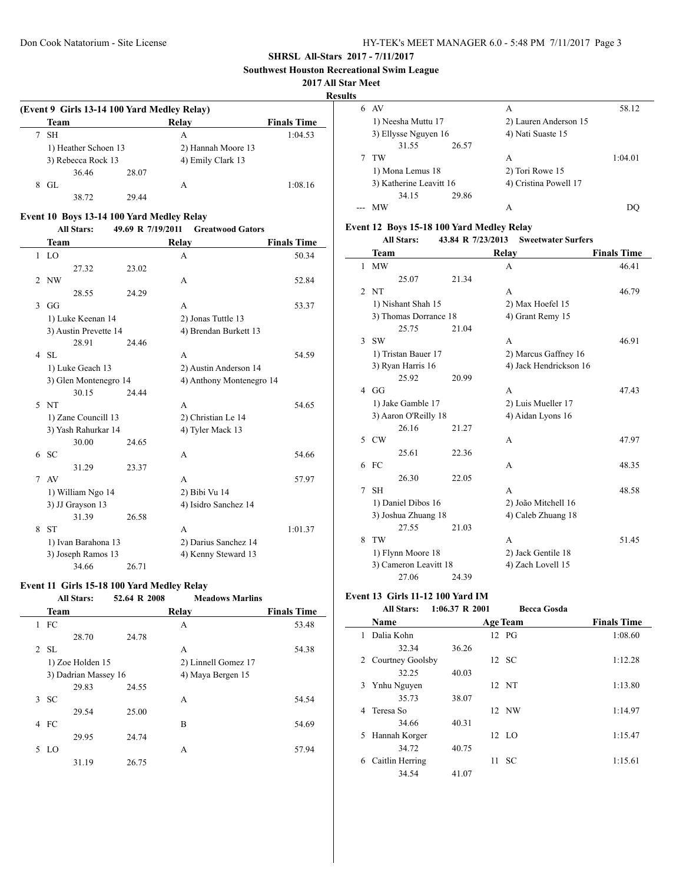**Southwest Houston Recreational Swim League**

#### **2017 All Star Meet**

**Results**

 $\sim$ 

|   |                                             |       |                    | ж.                 |  |  |  |
|---|---------------------------------------------|-------|--------------------|--------------------|--|--|--|
|   | (Event 9 Girls 13-14 100 Yard Medley Relay) |       |                    |                    |  |  |  |
|   | Team                                        |       | Relay              | <b>Finals Time</b> |  |  |  |
|   | <b>SH</b>                                   |       | A                  | 1:04.53            |  |  |  |
|   | 1) Heather Schoen 13                        |       | 2) Hannah Moore 13 |                    |  |  |  |
|   | 3) Rebecca Rock 13                          |       | 4) Emily Clark 13  |                    |  |  |  |
|   | 36.46                                       | 28.07 |                    |                    |  |  |  |
| 8 | GL                                          |       | А                  | 1:08.16            |  |  |  |
|   | 38.72                                       | 29.44 |                    |                    |  |  |  |

### **Event 10 Boys 13-14 100 Yard Medley Relay**

# **All Stars: 49.69 R 7/19/2011 Greatwood Gators**

|               | <b>Team</b>           |       | <b>Relay</b>             | <b>Finals Time</b> |
|---------------|-----------------------|-------|--------------------------|--------------------|
|               | $1$ I.O               |       | A                        | 50.34              |
|               | 27.32                 | 23.02 |                          |                    |
| 2             | NW                    |       | A                        | 52.84              |
|               | 28.55                 | 24.29 |                          |                    |
| $\mathcal{F}$ | GG                    |       | A                        | 53.37              |
|               | 1) Luke Keenan 14     |       | 2) Jonas Tuttle 13       |                    |
|               | 3) Austin Prevette 14 |       | 4) Brendan Burkett 13    |                    |
|               | 28.91                 | 24.46 |                          |                    |
| 4             | SL                    |       | A                        | 54.59              |
|               | 1) Luke Geach 13      |       | 2) Austin Anderson 14    |                    |
|               | 3) Glen Montenegro 14 |       | 4) Anthony Montenegro 14 |                    |
|               | 30.15                 | 24.44 |                          |                    |
|               | 5NT                   |       | A                        | 54.65              |
|               | 1) Zane Councill 13   |       | 2) Christian Le 14       |                    |
|               | 3) Yash Rahurkar 14   |       | 4) Tyler Mack 13         |                    |
|               | 30.00                 | 24.65 |                          |                    |
| 6             | <b>SC</b>             |       | A                        | 54.66              |
|               | 31.29                 | 23.37 |                          |                    |
| $\tau$        | AV                    |       | A                        | 57.97              |
|               | 1) William Ngo 14     |       | 2) Bibi Vu 14            |                    |
|               | 3) JJ Grayson 13      |       | 4) Isidro Sanchez 14     |                    |
|               | 31.39                 | 26.58 |                          |                    |
| 8             | -ST                   |       | A                        | 1:01.37            |
|               | 1) Ivan Barahona 13   |       | 2) Darius Sanchez 14     |                    |
|               | 3) Joseph Ramos 13    |       | 4) Kenny Steward 13      |                    |
|               | 34.66                 | 26.71 |                          |                    |

# **Event 11 Girls 15-18 100 Yard Medley Relay<br>All Stars:** 52.64 R 2008 Moods

|    | <b>All Stars:</b> |                      | 52.64 R 2008 | <b>Meadows Marlins</b> |                    |
|----|-------------------|----------------------|--------------|------------------------|--------------------|
|    | Team              |                      | Relay        |                        | <b>Finals Time</b> |
|    | $1$ FC            |                      | A            |                        | 53.48              |
|    | 28.70             | 24.78                |              |                        |                    |
|    | 2 SL              |                      | A            |                        | 54.38              |
|    | 1) Zoe Holden 15  |                      |              | 2) Linnell Gomez 17    |                    |
|    |                   | 3) Dadrian Massey 16 |              | 4) Maya Bergen 15      |                    |
|    | 29.83             | 24.55                |              |                        |                    |
| 3  | <b>SC</b>         |                      | A            |                        | 54.54              |
|    | 29.54             | 25.00                |              |                        |                    |
| 4  | FC                |                      | B            |                        | 54.69              |
|    | 29.95             | 24.74                |              |                        |                    |
| 5. | LO                |                      | A            |                        | 57.94              |
|    | 31.19             | 26.75                |              |                        |                    |
|    |                   |                      |              |                        |                    |

| S |                         |       |                       |         |
|---|-------------------------|-------|-----------------------|---------|
| 6 | AV                      |       | А                     | 58.12   |
|   | 1) Neesha Muttu 17      |       | 2) Lauren Anderson 15 |         |
|   | 3) Ellysse Nguyen 16    |       | 4) Nati Suaste 15     |         |
|   | 31.55                   | 26.57 |                       |         |
|   | TW                      |       | A                     | 1:04.01 |
|   | 1) Mona Lemus 18        |       | 2) Tori Rowe 15       |         |
|   | 3) Katherine Leavitt 16 |       | 4) Cristina Powell 17 |         |
|   | 34.15                   | 29.86 |                       |         |
|   | МW                      |       | А                     |         |

# **Event 12 Boys 15-18 100 Yard Medley Relay**

|                | <b>All Stars:</b>     | 43.84 R 7/23/2013 | <b>Sweetwater Surfers</b> |                    |
|----------------|-----------------------|-------------------|---------------------------|--------------------|
|                | Team                  |                   | Relay                     | <b>Finals Time</b> |
| 1              | <b>MW</b>             |                   | A                         | 46.41              |
|                | 25.07                 | 21.34             |                           |                    |
| $\mathfrak{D}$ | <b>NT</b>             |                   | A                         | 46.79              |
|                | 1) Nishant Shah 15    |                   | 2) Max Hoefel 15          |                    |
|                | 3) Thomas Dorrance 18 |                   | 4) Grant Remy 15          |                    |
|                | 25.75                 | 21.04             |                           |                    |
| 3              | <b>SW</b>             |                   | A                         | 46.91              |
|                | 1) Tristan Bauer 17   |                   | 2) Marcus Gaffney 16      |                    |
|                | 3) Ryan Harris 16     |                   | 4) Jack Hendrickson 16    |                    |
|                | 25.92                 | 20.99             |                           |                    |
|                | $4$ GG                |                   | A                         | 47.43              |
|                | 1) Jake Gamble 17     |                   | 2) Luis Mueller 17        |                    |
|                | 3) Aaron O'Reilly 18  |                   | 4) Aidan Lyons 16         |                    |
|                | 26.16                 | 21.27             |                           |                    |
| 5.             | <b>CW</b>             |                   | A                         | 47.97              |
|                | 25.61                 | 22.36             |                           |                    |
| 6              | FC                    |                   | A                         | 48.35              |
|                | 26.30                 | 22.05             |                           |                    |
| 7              | <b>SH</b>             |                   | A                         | 48.58              |
|                | 1) Daniel Dibos 16    |                   | 2) João Mitchell 16       |                    |
|                | 3) Joshua Zhuang 18   |                   | 4) Caleb Zhuang 18        |                    |
|                | 27.55                 | 21.03             |                           |                    |
| 8              | <b>TW</b>             |                   | A                         | 51.45              |
|                | 1) Flynn Moore 18     |                   | 2) Jack Gentile 18        |                    |
|                | 3) Cameron Leavitt 18 |                   | 4) Zach Lovell 15         |                    |
|                | 27.06                 | 24.39             |                           |                    |

# **Event 13 Girls 11-12 100 Yard IM**

#### **All Stars: 1:06.37 R 2001 Becca Gosda**

|   | Name             |       |    | <b>Age Team</b> | <b>Finals Time</b> |
|---|------------------|-------|----|-----------------|--------------------|
| 1 | Dalia Kohn       |       |    | 12 PG           | 1:08.60            |
|   | 32.34            | 36.26 |    |                 |                    |
| 2 | Courtney Goolsby |       |    | 12 SC           | 1:12.28            |
|   | 32.25            | 40.03 |    |                 |                    |
| 3 | Ynhu Nguyen      |       |    | 12 NT           | 1:13.80            |
|   | 35.73            | 38.07 |    |                 |                    |
| 4 | Teresa So        |       |    | 12 NW           | 1:14.97            |
|   | 34.66            | 40.31 |    |                 |                    |
| 5 | Hannah Korger    |       |    | 12 LO           | 1:15.47            |
|   | 34.72            | 40.75 |    |                 |                    |
| 6 | Caitlin Herring  |       | 11 | -SC             | 1:15.61            |
|   | 34.54            | 41.07 |    |                 |                    |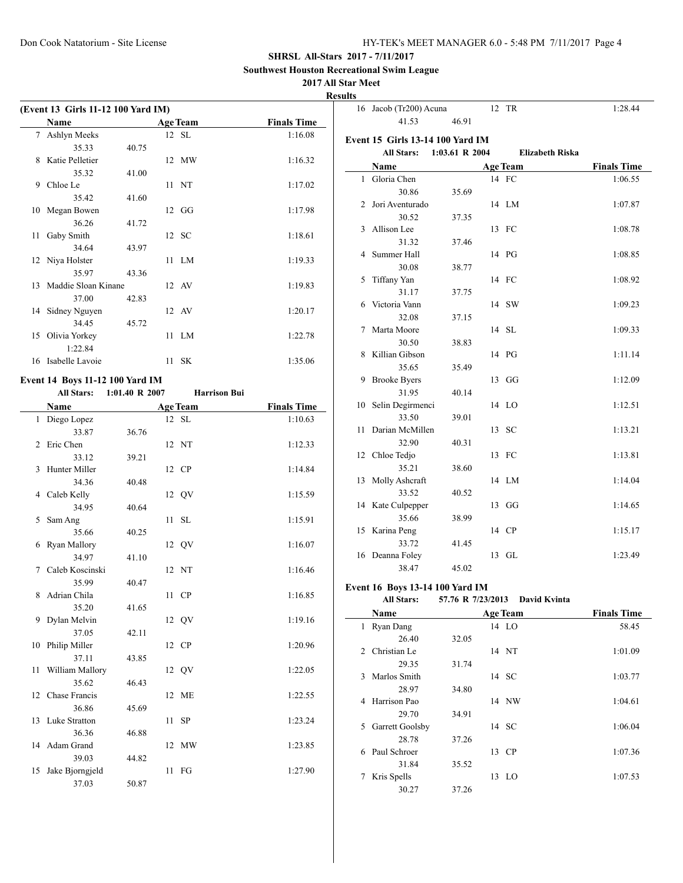16 Jacob (Tr200) Acuna 12 TR 1:28.44

41.53 46.91

### **SHRSL All-Stars 2017 - 7/11/2017**

**Southwest Houston Recreational Swim League**

# **2017 All Star Meet**

**Results**

|    |                                    |       |                 | п                  |
|----|------------------------------------|-------|-----------------|--------------------|
|    | (Event 13 Girls 11-12 100 Yard IM) |       |                 |                    |
|    | <b>Name</b>                        |       | <b>Age Team</b> | <b>Finals Time</b> |
| 7  | Ashlyn Meeks                       |       | 12 SL           | 1:16.08            |
|    | 35.33                              | 40.75 |                 |                    |
| 8  | Katie Pelletier                    |       | 12 MW           | 1:16.32            |
|    | 35.32                              | 41.00 |                 |                    |
| 9  | Chloe Le                           |       | 11 NT           | 1:17.02            |
|    | 35.42                              | 41.60 |                 |                    |
| 10 | Megan Bowen                        |       | $12 \text{ GG}$ | 1:17.98            |
|    | 36.26                              | 41.72 |                 |                    |
| 11 | Gaby Smith                         |       | 12 SC           | 1:18.61            |
|    | 34.64                              | 43.97 |                 |                    |
|    | 12 Niya Holster                    |       | 11 LM           | 1:19.33            |
|    | 35.97                              | 43.36 |                 |                    |
|    | 13 Maddie Sloan Kinane             |       | 12 AV           | 1:19.83            |
|    | 37.00                              | 42.83 |                 |                    |
|    | 14 Sidney Nguyen                   |       | 12 AV           | 1:20.17            |
|    | 34.45                              | 45.72 |                 |                    |
| 15 | Olivia Yorkey                      |       | $11$ $LM$       | 1:22.78            |
|    | 1:22.84                            |       |                 |                    |
| 16 | Isabelle Lavoie                    |       | $11$ SK         | 1:35.06            |
|    |                                    |       |                 |                    |

# **Event 14 Boys 11-12 100 Yard IM**

L.

### **All Stars: 1:01.40 R 2007 Harrison Bui**

|                | Name             |       | <b>Age Team</b> | <b>Finals Time</b> |
|----------------|------------------|-------|-----------------|--------------------|
|                | 1 Diego Lopez    |       | 12 SL           | 1:10.63            |
|                | 33.87            | 36.76 |                 |                    |
| $\mathfrak{D}$ | Eric Chen        |       | 12 NT           | 1:12.33            |
|                | 33.12            | 39.21 |                 |                    |
| 3              | Hunter Miller    |       | 12 CP           | 1:14.84            |
|                | 34.36            | 40.48 |                 |                    |
|                | 4 Caleb Kelly    |       | 12 QV           | 1:15.59            |
|                | 34.95            | 40.64 |                 |                    |
| 5              | Sam Ang          |       | 11 SL           | 1:15.91            |
|                | 35.66            | 40.25 |                 |                    |
| 6              | Ryan Mallory     |       | 12 QV           | 1:16.07            |
|                | 34.97            | 41.10 |                 |                    |
| 7              | Caleb Koscinski  |       | 12 NT           | 1:16.46            |
|                | 35.99            | 40.47 |                 |                    |
| 8              | Adrian Chila     |       | 11 CP           | 1:16.85            |
|                | 35.20            | 41.65 |                 |                    |
| 9              | Dylan Melvin     |       | 12 QV           | 1:19.16            |
|                | 37.05            | 42.11 |                 |                    |
| 10             | Philip Miller    |       | 12 CP           | 1:20.96            |
|                | 37.11            | 43.85 |                 |                    |
| 11             | William Mallory  |       | 12 QV           | 1:22.05            |
|                | 35.62            | 46.43 |                 |                    |
|                | 12 Chase Francis |       | 12 ME           | 1:22.55            |
|                | 36.86            | 45.69 |                 |                    |
| 13             | Luke Stratton    |       | 11 SP           | 1:23.24            |
|                | 36.36            | 46.88 |                 |                    |
| 14             | Adam Grand       |       | 12 MW           | 1:23.85            |
|                | 39.03            | 44.82 |                 |                    |
| 15             | Jake Bjorngjeld  |       | 11<br>FG        | 1:27.90            |
|                | 37.03            | 50.87 |                 |                    |

|              | Event 15 Girls 13-14 100 Yard IM |                    |                        |                    |
|--------------|----------------------------------|--------------------|------------------------|--------------------|
|              | <b>All Stars:</b>                | $1:03.61$ R $2004$ | <b>Elizabeth Riska</b> |                    |
|              | Name                             |                    | <b>Age Team</b>        | <b>Finals Time</b> |
| $\mathbf{1}$ | Gloria Chen                      |                    | 14 FC                  | 1:06.55            |
|              | 30.86                            | 35.69              |                        |                    |
| 2            | Jori Aventurado                  |                    | 14 LM                  | 1:07.87            |
|              | 30.52                            | 37.35              |                        |                    |
| 3            | Allison Lee                      |                    | 13 FC                  | 1:08.78            |
|              | 31.32                            | 37.46              |                        |                    |
| 4            | Summer Hall                      |                    | 14 PG                  | 1:08.85            |
|              | 30.08                            | 38.77              |                        |                    |
| 5            | Tiffany Yan                      |                    | 14 FC                  | 1:08.92            |
|              | 31.17                            | 37.75              |                        |                    |
| 6            | Victoria Vann                    |                    | 14 SW                  | 1:09.23            |
|              | 32.08                            | 37.15              |                        |                    |
| 7            | Marta Moore                      |                    | 14 SL                  | 1:09.33            |
|              | 30.50                            | 38.83              |                        |                    |
| 8            | Killian Gibson                   |                    | 14 PG                  | 1:11.14            |
|              | 35.65                            | 35.49              |                        |                    |
| 9            | <b>Brooke Byers</b>              |                    | 13 GG                  | 1:12.09            |
|              | 31.95                            | 40.14              |                        |                    |
| 10           | Selin Degirmenci                 |                    | 14 LO                  | 1:12.51            |
|              | 33.50                            | 39.01              |                        |                    |
| 11           | Darian McMillen                  |                    | 13 SC                  | 1:13.21            |
|              | 32.90                            | 40.31              |                        |                    |
|              | 12 Chloe Tedjo                   |                    | 13 FC                  | 1:13.81            |
|              | 35.21                            | 38.60              |                        |                    |
| 13           | Molly Ashcraft                   |                    | 14 LM                  | 1:14.04            |
|              | 33.52                            | 40.52              |                        |                    |
|              | 14 Kate Culpepper                |                    | 13 GG                  | 1:14.65            |
|              | 35.66                            | 38.99              |                        |                    |
|              | 15 Karina Peng                   |                    | 14 CP                  | 1:15.17            |
|              | 33.72                            | 41.45              |                        |                    |
| 16           | Deanna Foley                     |                    | 13 GL                  | 1:23.49            |
|              | 38.47                            | 45.02              |                        |                    |

### **Event 16 Boys 13-14 100 Yard IM**

 $\overline{a}$ 

#### **All Stars: 57.76 R 7/23/2013 David Kvinta**

|             | Name            |       | <b>Age Team</b> | <b>Finals Time</b> |
|-------------|-----------------|-------|-----------------|--------------------|
| 1           | Ryan Dang       |       | 14 LO           | 58.45              |
|             | 26.40           | 32.05 |                 |                    |
| $2^{\circ}$ | Christian Le    |       | 14 NT           | 1:01.09            |
|             | 29.35           | 31.74 |                 |                    |
| 3           | Marlos Smith    |       | 14 SC           | 1:03.77            |
|             | 28.97           | 34.80 |                 |                    |
| 4           | Harrison Pao    |       | 14 NW           | 1:04.61            |
|             | 29.70           | 34.91 |                 |                    |
| 5.          | Garrett Goolsby |       | 14 SC           | 1:06.04            |
|             | 28.78           | 37.26 |                 |                    |
| 6           | Paul Schroer    |       | 13 CP           | 1:07.36            |
|             | 31.84           | 35.52 |                 |                    |
| 7           | Kris Spells     |       | 13 LO           | 1:07.53            |
|             | 30.27           | 37.26 |                 |                    |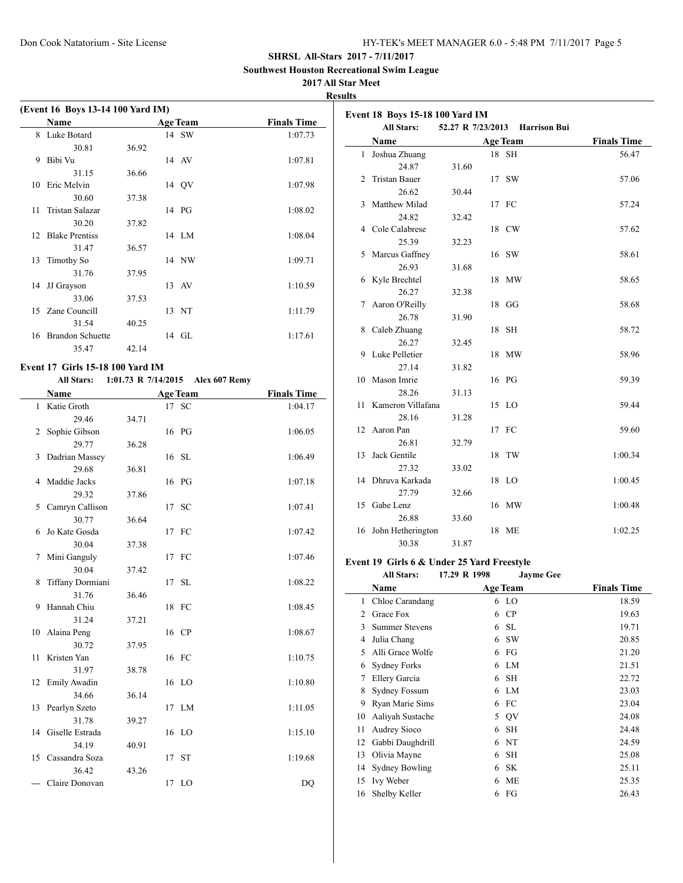**Southwest Houston Recreational Swim League**

### **2017 All Star Meet**

**Results**

|    | (Event 16 Boys 13-14 100 Yard IM) |       |                 |                    |
|----|-----------------------------------|-------|-----------------|--------------------|
|    | <b>Name</b>                       |       | <b>Age Team</b> | <b>Finals Time</b> |
| 8  | Luke Botard                       |       | 14 SW           | 1:07.73            |
|    | 30.81                             | 36.92 |                 |                    |
| 9  | Bibi Vu                           |       | 14 AV           | 1:07.81            |
|    | 31.15                             | 36.66 |                 |                    |
| 10 | Eric Melvin                       |       | 14 OV           | 1:07.98            |
|    | 30.60                             | 37.38 |                 |                    |
| 11 | Tristan Salazar                   |       | 14 PG           | 1:08.02            |
|    | 30.20                             | 37.82 |                 |                    |
|    | 12 Blake Prentiss                 |       | 14 LM           | 1:08.04            |
|    | 31.47                             | 36.57 |                 |                    |
| 13 | <b>Timothy So</b>                 |       | 14 NW           | 1:09.71            |
|    | 31.76                             | 37.95 |                 |                    |
| 14 | JJ Grayson                        |       | 13 AV           | 1:10.59            |
|    | 33.06                             | 37.53 |                 |                    |
|    | 15 Zane Councill                  |       | 13 NT           | 1:11.79            |
|    | 31.54                             | 40.25 |                 |                    |
|    | 16 Brandon Schuette               |       | 14 GL           | 1:17.61            |
|    | 35.47                             | 42.14 |                 |                    |

### **Event 17 Girls 15-18 100 Yard IM**

 $\overline{\phantom{0}}$ 

#### **All Stars: 1:01.73 R 7/14/2015 Alex 607 Remy**

|              | <b>Name</b>        |       | <b>Age Team</b> | <b>Finals Time</b> |
|--------------|--------------------|-------|-----------------|--------------------|
| $\mathbf{1}$ | Katie Groth        |       | 17 SC           | 1:04.17            |
|              | 29.46              | 34.71 |                 |                    |
| 2            | Sophie Gibson      |       | 16 PG           | 1:06.05            |
|              | 29.77              | 36.28 |                 |                    |
| 3            | Dadrian Massey     |       | 16 SL           | 1:06.49            |
|              | 29.68              | 36.81 |                 |                    |
| 4            | Maddie Jacks       |       | 16 PG           | 1:07.18            |
|              | 29.32              | 37.86 |                 |                    |
| 5            | Camryn Callison    |       | 17 SC           | 1:07.41            |
|              | 30.77              | 36.64 |                 |                    |
| 6            | Jo Kate Gosda      |       | 17 FC           | 1:07.42            |
|              | 30.04              | 37.38 |                 |                    |
| 7            | Mini Ganguly       |       | 17 FC           | 1:07.46            |
|              | 30.04              | 37.42 |                 |                    |
| 8            | Tiffany Dormiani   |       | 17 SL           | 1:08.22            |
|              | 31.76              | 36.46 |                 |                    |
| 9            | Hannah Chiu        |       | 18 FC           | 1:08.45            |
|              | 31.24              | 37.21 |                 |                    |
|              | 10 Alaina Peng     |       | 16 CP           | 1:08.67            |
|              | 30.72              | 37.95 |                 |                    |
| 11           | Kristen Yan        |       | 16 FC           | 1:10.75            |
|              | 31.97              | 38.78 |                 |                    |
|              | 12 Emily Awadin    |       | 16 LO           | 1:10.80            |
|              | 34.66              | 36.14 |                 |                    |
| 13           | Pearlyn Szeto      |       | 17 LM           | 1:11.05            |
|              | 31.78              | 39.27 |                 |                    |
|              | 14 Giselle Estrada |       | 16 LO           | 1:15.10            |
|              | 34.19              | 40.91 |                 |                    |
| 15           | Cassandra Soza     |       | 17 ST           | 1:19.68            |
|              | 36.42              | 43.26 |                 |                    |
| $---$        | Claire Donovan     |       | 17 LO           | DQ                 |

|    | <b>Event 18 Boys 15-18 100 Yard IM</b><br><b>All Stars:</b> | 52.27 R 7/23/2013 | <b>Harrison Bui</b> |                    |
|----|-------------------------------------------------------------|-------------------|---------------------|--------------------|
|    | Name                                                        |                   | <b>Age Team</b>     | <b>Finals Time</b> |
| 1  | Joshua Zhuang                                               |                   | 18 SH               | 56.47              |
|    | 24.87                                                       | 31.60             |                     |                    |
| 2  | <b>Tristan Bauer</b>                                        |                   | 17 SW               | 57.06              |
|    | 26.62                                                       | 30.44             |                     |                    |
| 3  | Matthew Milad                                               |                   | 17 FC               | 57.24              |
|    | 24.82                                                       | 32.42             |                     |                    |
|    | 4 Cole Calabrese                                            |                   | 18 CW               | 57.62              |
|    | 25.39                                                       | 32.23             |                     |                    |
| 5  | Marcus Gaffney                                              |                   | 16 SW               | 58.61              |
|    | 26.93                                                       | 31.68             |                     |                    |
| 6  | Kyle Brechtel                                               |                   | 18 MW               | 58.65              |
|    | 26.27                                                       | 32.38             |                     |                    |
| 7  | Aaron O'Reilly                                              |                   | 18 GG               | 58.68              |
|    | 26.78                                                       | 31.90             |                     |                    |
|    | 8 Caleb Zhuang                                              |                   | 18 SH               | 58.72              |
|    | 26.27                                                       | 32.45             |                     |                    |
| 9  | Luke Pelletier                                              |                   | 18 MW               | 58.96              |
|    | 27.14                                                       | 31.82             |                     |                    |
| 10 | Mason Imrie                                                 |                   | 16 PG               | 59.39              |
|    | 28.26                                                       | 31.13             |                     |                    |
|    | 11 Kameron Villafana                                        |                   | 15 LO               | 59.44              |
|    | 28.16                                                       | 31.28             |                     |                    |
| 12 | Aaron Pan                                                   |                   | 17 FC               | 59.60              |
|    | 26.81                                                       | 32.79             |                     |                    |
| 13 | Jack Gentile                                                |                   | 18 TW               | 1:00.34            |
|    | 27.32                                                       | 33.02             |                     |                    |
| 14 | Dhruva Karkada                                              |                   | 18 LO               | 1:00.45            |
|    | 27.79                                                       | 32.66             |                     |                    |
|    | 15 Gabe Lenz                                                |                   | 16 MW               | 1:00.48            |
|    | 26.88                                                       | 33.60             |                     |                    |
|    | 16 John Hetherington                                        |                   | 18 ME               | 1:02.25            |
|    | 30.38                                                       | 31.87             |                     |                    |

#### **Event 19 Girls 6 & Under 25 Yard Freestyle**

|    | <b>All Stars:</b>     | 17.29 R 1998 | <b>Jayme Gee</b> |                    |
|----|-----------------------|--------------|------------------|--------------------|
|    | Name                  |              | <b>Age Team</b>  | <b>Finals Time</b> |
| 1  | Chloe Carandang       |              | 6 LO             | 18.59              |
| 2  | Grace Fox             | 6            | CP               | 19.63              |
| 3  | <b>Summer Stevens</b> | 6            | -SL              | 19.71              |
| 4  | Julia Chang           | 6            | <b>SW</b>        | 20.85              |
| 5  | Alli Grace Wolfe      | 6            | FG               | 21.20              |
| 6  | Sydney Forks          | 6            | LM               | 21.51              |
| 7  | Ellery Garcia         | 6            | SH               | 22.72              |
| 8  | <b>Sydney Fossum</b>  | 6            | LM               | 23.03              |
| 9  | Ryan Marie Sims       | 6            | FC               | 23.04              |
| 10 | Aaliyah Sustache      |              | 5 QV             | 24.08              |
| 11 | Audrey Sioco          | 6            | SH               | 24.48              |
| 12 | Gabbi Daughdrill      | 6            | NT               | 24.59              |
| 13 | Olivia Mayne          | 6            | SH               | 25.08              |
| 14 | <b>Sydney Bowling</b> | 6            | <b>SK</b>        | 25.11              |
| 15 | <b>Ivy Weber</b>      | 6            | ME               | 25.35              |
| 16 | Shelby Keller         | 6            | FG               | 26.43              |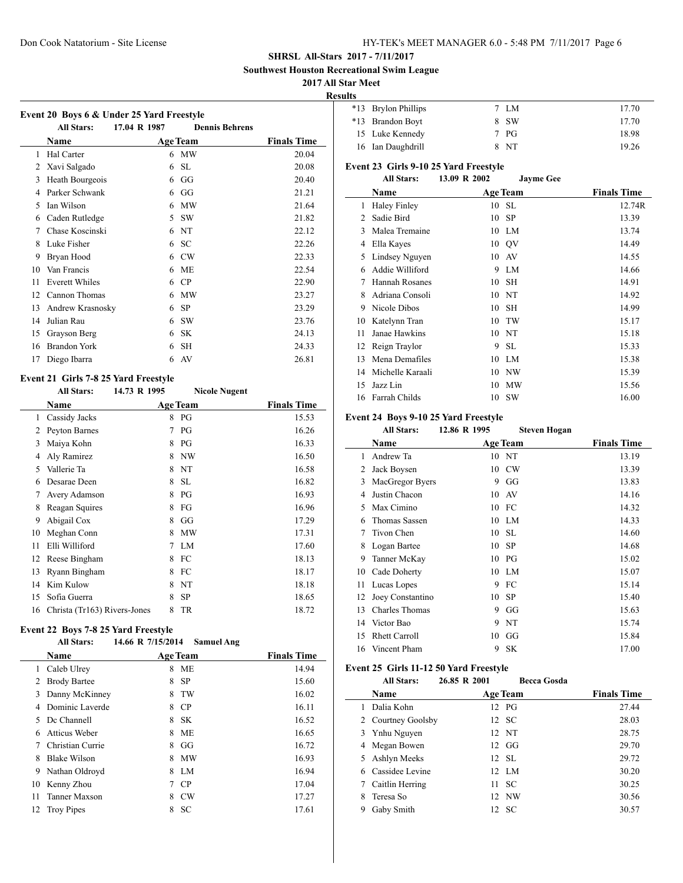**Southwest Houston Recreational Swim League**

# **2017 All Star Meet**

 $\overline{\phantom{a}}$ 

**Results**

|    | Event 20 Boys 6 & Under 25 Yard Freestyle<br><b>All Stars:</b> | 17.04 R 1987 | <b>Dennis Behrens</b> |                    |
|----|----------------------------------------------------------------|--------------|-----------------------|--------------------|
|    | Name                                                           |              | <b>Age Team</b>       | <b>Finals Time</b> |
| 1  | Hal Carter                                                     | 6            | MW                    | 20.04              |
| 2  | Xavi Salgado                                                   | 6            | <b>SL</b>             | 20.08              |
| 3  | Heath Bourgeois                                                | 6            | GG                    | 20.40              |
| 4  | Parker Schwank                                                 | 6            | GG                    | 21.21              |
| 5  | Ian Wilson                                                     | 6            | <b>MW</b>             | 21.64              |
| 6  | Caden Rutledge                                                 | 5            | <b>SW</b>             | 21.82              |
| 7  | Chase Koscinski                                                | 6            | NT                    | 22.12              |
| 8  | Luke Fisher                                                    | 6            | <b>SC</b>             | 22.26              |
| 9  | Bryan Hood                                                     | 6            | <b>CW</b>             | 22.33              |
| 10 | Van Francis                                                    | 6            | МE                    | 22.54              |
| 11 | <b>Everett Whiles</b>                                          | 6            | CP                    | 22.90              |
| 12 | Cannon Thomas                                                  | 6            | MW                    | 23.27              |
| 13 | Andrew Krasnosky                                               | 6            | <b>SP</b>             | 23.29              |
| 14 | Julian Rau                                                     | 6            | <b>SW</b>             | 23.76              |
| 15 | Grayson Berg                                                   | 6            | <b>SK</b>             | 24.13              |
| 16 | <b>Brandon York</b>                                            | 6            | <b>SH</b>             | 24.33              |
| 17 | Diego Ibarra                                                   | 6            | AV                    | 26.81              |

# **Event 21 Girls 7-8 25 Yard Freestyle**<br>All Stars: 14.73 **P** 1995

| <b>All Stars:</b> | 14.73 R 1995 | <b>Nicole Nugent</b>         |                    |
|-------------------|--------------|------------------------------|--------------------|
| Name              |              |                              | <b>Finals Time</b> |
| Cassidy Jacks     | 8            | PG                           | 15.53              |
| Peyton Barnes     | 7            | PG                           | 16.26              |
| Maiya Kohn        | 8            | PG                           | 16.33              |
| Aly Ramirez       | 8            | NW                           | 16.50              |
| Vallerie Ta       | 8            | NT                           | 16.58              |
| Desarae Deen      | 8            | <b>SL</b>                    | 16.82              |
| Avery Adamson     | 8            | PG                           | 16.93              |
| Reagan Squires    | 8            | FG                           | 16.96              |
| Abigail Cox       | 8            | GG                           | 17.29              |
| Meghan Conn       | 8            | <b>MW</b>                    | 17.31              |
| Elli Williford    | 7            | LM                           | 17.60              |
| Reese Bingham     | 8            | FC                           | 18.13              |
| Ryann Bingham     | 8            | FC                           | 18.17              |
| Kim Kulow         | 8            | NT                           | 18.18              |
| Sofia Guerra      | 8            | <b>SP</b>                    | 18.65              |
|                   | 8            | TR                           | 18.72              |
|                   |              | Christa (Tr163) Rivers-Jones | <b>Age Team</b>    |

#### **Event 22 Boys 7-8 25 Yard Freestyle**

#### **All Stars: 14.66 R 7/15/2014 Samuel Ang**

|    |                     | o |                 |                    |  |
|----|---------------------|---|-----------------|--------------------|--|
|    | <b>Name</b>         |   | <b>Age Team</b> | <b>Finals Time</b> |  |
| 1  | Caleb Ulrey         | 8 | МE              | 14.94              |  |
| 2  | <b>Brody Bartee</b> | 8 | <b>SP</b>       | 15.60              |  |
| 3  | Danny McKinney      | 8 | TW              | 16.02              |  |
| 4  | Dominic Laverde     | 8 | CP              | 16.11              |  |
| 5  | Dc Channell         | 8 | <b>SK</b>       | 16.52              |  |
| 6  | Atticus Weber       | 8 | <b>ME</b>       | 16.65              |  |
| 7  | Christian Currie    | 8 | GG              | 16.72              |  |
| 8  | <b>Blake Wilson</b> | 8 | MW              | 16.93              |  |
| 9  | Nathan Oldroyd      | 8 | LM.             | 16.94              |  |
| 10 | Kenny Zhou          | 7 | CP              | 17.04              |  |
| 11 | Tanner Maxson       | 8 | <b>CW</b>       | 17.27              |  |
| 12 | <b>Troy Pipes</b>   | 8 | SC              | 17.61              |  |
|    |                     |   |                 |                    |  |

| 115 |                     |        |       |
|-----|---------------------|--------|-------|
|     | *13 Brylon Phillips | 7 LM   | 17.70 |
|     | *13 Brandon Boyt    | 8 SW   | 17.70 |
|     | 15 Luke Kennedy     | $7$ PG | 18.98 |
|     | 16 Ian Daughdrill   | 8 NT   | 19.26 |
|     |                     |        |       |

# **Event 23 Girls 9-10 25 Yard Freestyle**

# **All Stars: 13.09 R 2002 Jayme Gee**

|    | Name                |    | <b>Age Team</b> | <b>Finals Time</b> |
|----|---------------------|----|-----------------|--------------------|
| 1  | <b>Haley Finley</b> |    | 10 SL           | 12.74R             |
| 2  | Sadie Bird          | 10 | <b>SP</b>       | 13.39              |
| 3  | Malea Tremaine      |    | 10 LM           | 13.74              |
| 4  | Ella Kayes          |    | 10 QV           | 14.49              |
| 5  | Lindsey Nguyen      | 10 | AV              | 14.55              |
| 6  | Addie Williford     | 9  | LM              | 14.66              |
| 7  | Hannah Rosanes      | 10 | <b>SH</b>       | 14.91              |
| 8  | Adriana Consoli     | 10 | NT              | 14.92              |
| 9  | Nicole Dibos        | 10 | <b>SH</b>       | 14.99              |
| 10 | Katelynn Tran       | 10 | TW              | 15.17              |
| 11 | Janae Hawkins       |    | 10 NT           | 15.18              |
| 12 | Reign Traylor       | 9  | <b>SL</b>       | 15.33              |
| 13 | Mena Demafiles      | 10 | LM              | 15.38              |
| 14 | Michelle Karaali    | 10 | NW              | 15.39              |
| 15 | Jazz Lin            | 10 | MW              | 15.56              |
| 16 | Farrah Childs       |    | 10 SW           | 16.00              |

### **Event 24 Boys 9-10 25 Yard Freestyle**

|    | <b>All Stars:</b>    | 12.86 R 1995 | <b>Steven Hogan</b> |                    |
|----|----------------------|--------------|---------------------|--------------------|
|    | Name                 |              | <b>Age Team</b>     | <b>Finals Time</b> |
| 1  | Andrew Ta            |              | 10 NT               | 13.19              |
| 2  | Jack Boysen          | 10           | CW                  | 13.39              |
| 3  | MacGregor Byers      | 9            | GG                  | 13.83              |
| 4  | Justin Chacon        | 10           | AV                  | 14.16              |
| 5  | Max Cimino           |              | 10 FC               | 14.32              |
| 6  | <b>Thomas Sassen</b> |              | 10 LM               | 14.33              |
| 7  | Tivon Chen           |              | 10 SL               | 14.60              |
| 8  | Logan Bartee         | 10           | -SP                 | 14.68              |
| 9  | Tanner McKay         |              | $10$ PG             | 15.02              |
| 10 | Cade Doherty         |              | 10 LM               | 15.07              |
| 11 | Lucas Lopes          | 9            | FC                  | 15.14              |
| 12 | Joey Constantino     | 10           | <b>SP</b>           | 15.40              |
| 13 | Charles Thomas       | 9            | GG                  | 15.63              |
| 14 | Victor Bao           | 9            | NT                  | 15.74              |
| 15 | <b>Rhett Carroll</b> | 10           | GG                  | 15.84              |
| 16 | Vincent Pham         | 9            | <b>SK</b>           | 17.00              |

### **Event 25 Girls 11-12 50 Yard Freestyle**

|  | <b>All Stars:</b>  | 26.85 R 2001 | <b>Becca Gosda</b> |                    |
|--|--------------------|--------------|--------------------|--------------------|
|  | <b>Name</b>        |              | <b>Age Team</b>    | <b>Finals Time</b> |
|  | Dalia Kohn         |              | 12 PG              | 27.44              |
|  | 2 Courtney Goolsby |              | 12 SC              | 28.03              |
|  | 3 Ynhu Nguyen      |              | 12 NT              | 28.75              |
|  | 4 Megan Bowen      |              | $12 \tG$           | 29.70              |
|  | 5 Ashlyn Meeks     |              | 12 SL              | 29.72              |
|  | 6 Cassidee Levine  |              | 12 LM              | 30.20              |
|  | Caitlin Herring    | 11           | - SC               | 30.25              |
|  | Teresa So          |              | 12 NW              | 30.56              |
|  | Gaby Smith         |              | 12 SC              | 30.57              |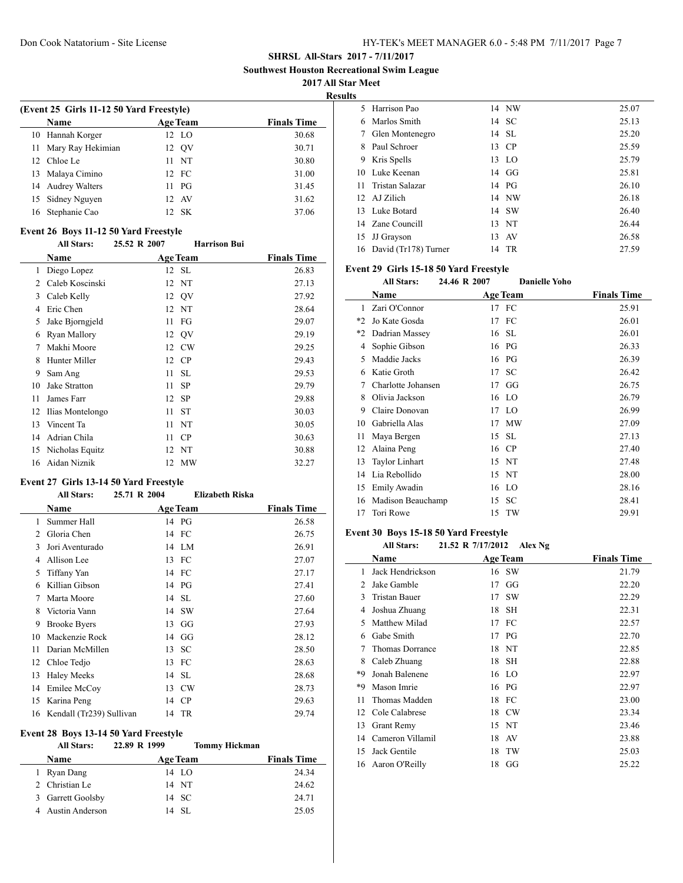**Southwest Houston Recreational Swim League**

**2017 All Star Meet**

**Results**

|                                          |                 | ж.                 |  |  |
|------------------------------------------|-----------------|--------------------|--|--|
| (Event 25 Girls 11-12 50 Yard Freestyle) |                 |                    |  |  |
| <b>Name</b>                              | <b>Age Team</b> | <b>Finals Time</b> |  |  |
| 10 Hannah Korger                         | 12 LO           | 30.68              |  |  |
| 11 Mary Ray Hekimian                     | 12 OV           | 30.71              |  |  |
| 12 Chloe Le                              | 11 NT           | 30.80              |  |  |
| Malaya Cimino<br>13                      | 12 FC           | 31.00              |  |  |
| 14 Audrey Walters                        | $11$ PG         | 31.45              |  |  |
| 15 Sidney Nguyen                         | 12 AV           | 31.62              |  |  |
| Stephanie Cao<br>16                      | 12 SK           | 37.06              |  |  |
|                                          |                 |                    |  |  |

#### **Event 26 Boys 11-12 50 Yard Freestyle**

|    | <b>All Stars:</b>   | 25.52 R 2007    | <b>Harrison Bui</b> |                    |
|----|---------------------|-----------------|---------------------|--------------------|
|    | Name                | <b>Age Team</b> |                     | <b>Finals Time</b> |
| 1  | Diego Lopez         |                 | 12 SL               | 26.83              |
| 2  | Caleb Koscinski     |                 | 12 NT               | 27.13              |
| 3  | Caleb Kelly         |                 | 12 OV               | 27.92              |
| 4  | Eric Chen           |                 | 12 NT               | 28.64              |
| 5  | Jake Bjorngjeld     | 11              | FG                  | 29.07              |
| 6  | <b>Ryan Mallory</b> |                 | 12 QV               | 29.19              |
| 7  | Makhi Moore         | 12              | <b>CW</b>           | 29.25              |
| 8  | Hunter Miller       | 12              | CP                  | 29.43              |
| 9  | Sam Ang             | 11              | <b>SL</b>           | 29.53              |
| 10 | Jake Stratton       | 11              | <b>SP</b>           | 29.79              |
| 11 | James Farr          | 12              | <b>SP</b>           | 29.88              |
| 12 | Ilias Montelongo    | 11              | <b>ST</b>           | 30.03              |
| 13 | Vincent Ta          | 11              | NT                  | 30.05              |
| 14 | Adrian Chila        | 11              | <b>CP</b>           | 30.63              |
| 15 | Nicholas Equitz     |                 | 12 NT               | 30.88              |
| 16 | Aidan Niznik        | 12              | MW                  | 32.27              |
|    |                     |                 |                     |                    |

### **Event 27 Girls 13-14 50 Yard Freestyle**

#### **All Stars: 25.71 R 2004 Elizabeth Riska**

|    | <b>Name</b>              |    | <b>Age Team</b> | <b>Finals Time</b> |
|----|--------------------------|----|-----------------|--------------------|
| 1  | Summer Hall              |    | 14 PG           | 26.58              |
| 2  | Gloria Chen              |    | 14 FC           | 26.75              |
| 3  | Jori Aventurado          |    | 14 LM           | 26.91              |
| 4  | Allison Lee              | 13 | - FC            | 27.07              |
| 5  | Tiffany Yan              |    | 14 FC           | 27.17              |
| 6  | Killian Gibson           |    | 14 PG           | 27.41              |
| 7  | Marta Moore              |    | 14 SL           | 27.60              |
| 8  | Victoria Vann            | 14 | <b>SW</b>       | 27.64              |
| 9  | <b>Brooke Byers</b>      | 13 | GG              | 27.93              |
| 10 | Mackenzie Rock           | 14 | GG              | 28.12              |
| 11 | Darian McMillen          | 13 | SC              | 28.50              |
| 12 | Chloe Tedjo              | 13 | FC              | 28.63              |
| 13 | <b>Haley Meeks</b>       | 14 | <b>SL</b>       | 28.68              |
| 14 | Emilee McCoy             | 13 | <b>CW</b>       | 28.73              |
| 15 | Karina Peng              | 14 | CP              | 29.63              |
| 16 | Kendall (Tr239) Sullivan |    | 14 TR           | 29.74              |

# **Event 28 Boys 13-14 50 Yard Freestyle**

|   | <b>All Stars:</b> | 22.89 R 1999<br><b>Tommy Hickman</b> |                    |
|---|-------------------|--------------------------------------|--------------------|
|   | <b>Name</b>       | <b>Age Team</b>                      | <b>Finals Time</b> |
|   | 1 Ryan Dang       | 14 LO                                | 24.34              |
|   | 2 Christian Le    | 14 NT                                | 24.62              |
| 3 | Garrett Goolsby   | 14 SC                                | 24.71              |
|   | 4 Austin Anderson | 14 SL                                | 25.05              |
|   |                   |                                      |                    |

|    | 5 Harrison Pao       | 14 NW          | 25.07 |
|----|----------------------|----------------|-------|
| 6  | Marlos Smith         | 14 SC          | 25.13 |
|    | 7 Glen Montenegro    | 14 SL          | 25.20 |
| 8  | Paul Schroer         | 13 CP          | 25.59 |
| 9. | Kris Spells          | 13 LO          | 25.79 |
| 10 | Luke Keenan          | $14 \text{ G}$ | 25.81 |
| 11 | Tristan Salazar      | 14 PG          | 26.10 |
|    | 12 AJ Zilich         | 14 NW          | 26.18 |
|    | 13 Luke Botard       | 14 SW          | 26.40 |
|    | 14 Zane Councill     | 13 NT          | 26.44 |
| 15 | JJ Grayson           | 13 AV          | 26.58 |
| 16 | David (Tr178) Turner | 14 TR          | 27.59 |
|    |                      |                |       |

### **Event 29 Girls 15-18 50 Yard Freestyle**

|      | <b>All Stars:</b>     | 24.46 R 2007 | <b>Danielle Yoho</b> |                    |
|------|-----------------------|--------------|----------------------|--------------------|
|      | Name                  |              | <b>Age Team</b>      | <b>Finals Time</b> |
| 1    | Zari O'Connor         |              | 17 FC                | 25.91              |
| $*2$ | Jo Kate Gosda         | 17           | FC                   | 26.01              |
| $*2$ | Dadrian Massey        | 16           | - SL                 | 26.01              |
| 4    | Sophie Gibson         |              | 16 PG                | 26.33              |
| 5    | Maddie Jacks          | 16           | PG                   | 26.39              |
| 6    | Katie Groth           | 17           | SC                   | 26.42              |
| 7    | Charlotte Johansen    | 17           | GG                   | 26.75              |
| 8    | Olivia Jackson        | 16           | <sup>LO</sup>        | 26.79              |
| 9    | Claire Donovan        | 17           | LO                   | 26.99              |
| 10   | Gabriella Alas        | 17           | <b>MW</b>            | 27.09              |
| 11   | Maya Bergen           | 15           | <b>SL</b>            | 27.13              |
| 12   | Alaina Peng           | 16           | CP                   | 27.40              |
| 13   | <b>Taylor Linhart</b> | 15           | NT                   | 27.48              |
| 14   | Lia Rebollido         | 15           | NT                   | 28.00              |
| 15   | Emily Awadin          | 16           | <sup>LO</sup>        | 28.16              |
| 16   | Madison Beauchamp     | 15           | SC                   | 28.41              |
| 17   | Tori Rowe             | 15           | TW                   | 29.91              |
|      |                       |              |                      |                    |

### **Event 30 Boys 15-18 50 Yard Freestyle**

 $\overline{\phantom{a}}$ 

| <b>All Stars:</b> |  | 21.52 R 7/17/2012 | Alex Ng |
|-------------------|--|-------------------|---------|
|-------------------|--|-------------------|---------|

|                | Name                 |    | <b>Age Team</b> | <b>Finals Time</b> |
|----------------|----------------------|----|-----------------|--------------------|
| 1              | Jack Hendrickson     |    | 16 SW           | 21.79              |
| $\mathfrak{D}$ | Jake Gamble          | 17 | GG              | 22.20              |
| 3              | <b>Tristan Bauer</b> | 17 | <b>SW</b>       | 22.29              |
| 4              | Joshua Zhuang        | 18 | SН              | 22.31              |
| 5              | Matthew Milad        | 17 | FC              | 22.57              |
| 6              | Gabe Smith           |    | 17 PG           | 22.70              |
| 7              | Thomas Dorrance      |    | 18 NT           | 22.85              |
| 8              | Caleb Zhuang         | 18 | SH              | 22.88              |
| *Q             | Jonah Balenene       | 16 | <sup>LO</sup>   | 22.97              |
| *Q             | Mason Imrie          |    | 16 PG           | 22.97              |
| 11             | Thomas Madden        | 18 | FC              | 23.00              |
| 12             | Cole Calabrese       | 18 | CW              | 23.34              |
| 13             | <b>Grant Remy</b>    | 15 | NT              | 23.46              |
| 14             | Cameron Villamil     | 18 | AV              | 23.88              |
| 15             | Jack Gentile         | 18 | TW              | 25.03              |
|                | 16 Aaron O'Reilly    | 18 | GG              | 25.22              |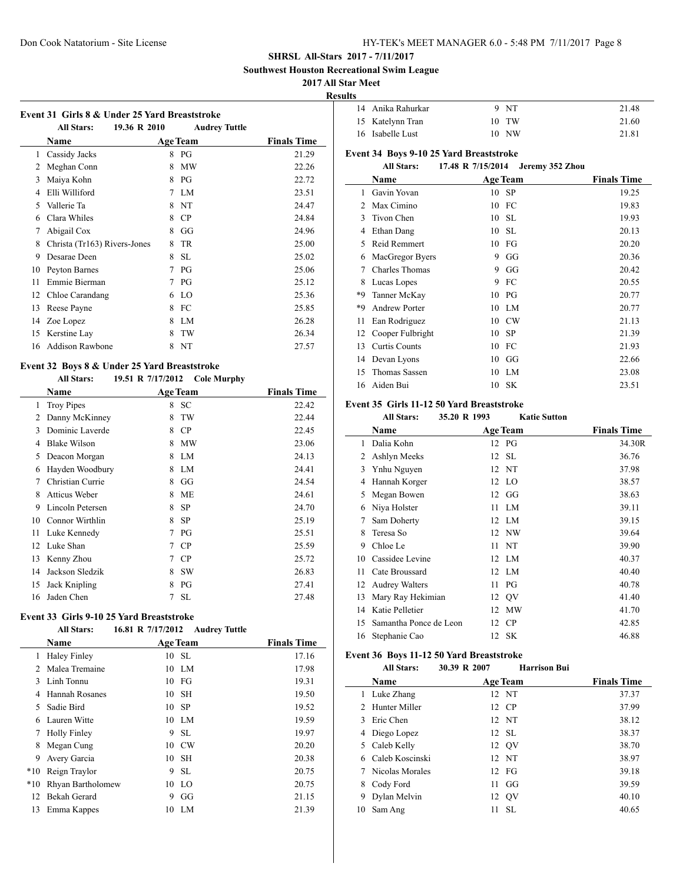**Southwest Houston Recreational Swim League**

#### **2017 All Star Meet**

**Results**

 $\overline{a}$ 

| 14 Anika Rahurkar | 9 NT  | 21.48 |
|-------------------|-------|-------|
| 15 Katelynn Tran  | 10 TW | 21.60 |
| 16 Isabelle Lust  | 10 NW | 21.81 |

# **Event 34 Boys 9-10 25 Yard Breaststroke**

### **All Stars: 17.48 R 7/15/2014 Jeremy 352 Zhou**

|    | Name                 |    | <b>Age Team</b> | <b>Finals Time</b> |
|----|----------------------|----|-----------------|--------------------|
| 1  | Gavin Yovan          | 10 | - SP            | 19.25              |
| 2  | Max Cimino           | 10 | FC              | 19.83              |
| 3  | Tivon Chen           | 10 | -SL             | 19.93              |
| 4  | Ethan Dang           | 10 | SL.             | 20.13              |
| 5  | Reid Remmert         | 10 | FG              | 20.20              |
| 6  | MacGregor Byers      | 9  | GG              | 20.36              |
| 7  | Charles Thomas       | 9  | GG              | 20.42              |
| 8  | Lucas Lopes          | 9  | FC              | 20.55              |
| *9 | Tanner McKay         | 10 | PG              | 20.77              |
| *9 | <b>Andrew Porter</b> | 10 | LM              | 20.77              |
| 11 | Ean Rodriguez        | 10 | CW              | 21.13              |
| 12 | Cooper Fulbright     | 10 | -SP             | 21.39              |
| 13 | <b>Curtis Counts</b> | 10 | FC              | 21.93              |
| 14 | Devan Lyons          | 10 | GG              | 22.66              |
| 15 | Thomas Sassen        | 10 | LM              | 23.08              |
| 16 | Aiden Bui            |    | 10 SK           | 23.51              |

# **Event 35 Girls 11-12 50 Yard Breaststroke**

# **All Stars: 35.20 R 1993 Katie Sutton**

|    | Name                   | <b>Age Team</b> | <b>Finals Time</b> |
|----|------------------------|-----------------|--------------------|
| 1  | Dalia Kohn             | 12 PG           | 34.30R             |
| 2  | Ashlyn Meeks           | 12 SL           | 36.76              |
| 3  | Ynhu Nguyen            | 12 NT           | 37.98              |
| 4  | Hannah Korger          | 12 LO           | 38.57              |
| 5  | Megan Bowen            | $12 \tG$        | 38.63              |
| 6  | Niya Holster           | $11$ LM         | 39.11              |
| 7  | Sam Doherty            | 12 LM           | 39.15              |
| 8  | Teresa So              | 12 NW           | 39.64              |
| 9  | Chloe Le               | 11 NT           | 39.90              |
| 10 | Cassidee Levine        | 12 LM           | 40.37              |
| 11 | Cate Broussard         | 12 LM           | 40.40              |
| 12 | <b>Audrey Walters</b>  | $11$ PG         | 40.78              |
| 13 | Mary Ray Hekimian      | 12 QV           | 41.40              |
| 14 | Katie Pelletier        | 12 MW           | 41.70              |
| 15 | Samantha Ponce de Leon | 12 CP           | 42.85              |
| 16 | Stephanie Cao          | 12 SK           | 46.88              |
|    |                        |                 |                    |

### **Event 36 Boys 11-12 50 Yard Breaststroke**

**All Stars: 30.39 R 2007 Harrison Bui**

|    | Name             |     | <b>Age Team</b> | <b>Finals Time</b> |
|----|------------------|-----|-----------------|--------------------|
| L  | Luke Zhang       |     | 12 NT           | 37.37              |
|    | 2. Hunter Miller |     | 12 CP           | 37.99              |
|    | Eric Chen        |     | 12 NT           | 38.12              |
| 4  | Diego Lopez      |     | 12 SL           | 38.37              |
| 5. | Caleb Kelly      |     | 12 OV           | 38.70              |
| 6  | Caleb Koscinski  |     | 12 NT           | 38.97              |
| 7  | Nicolas Morales  |     | $12$ FG         | 39.18              |
| 8  | Cody Ford        | 11. | GG              | 39.59              |
| 9  | Dylan Melvin     | 12  | QV              | 40.10              |
| 10 | Sam Ang          | 11  | <b>SL</b>       | 40.65              |
|    |                  |     |                 |                    |

| <b>All Stars:</b>            |   | <b>Audrey Tuttle</b> |                                                                  |
|------------------------------|---|----------------------|------------------------------------------------------------------|
| Name                         |   |                      | <b>Finals Time</b>                                               |
| Cassidy Jacks                | 8 | PG                   | 21.29                                                            |
| Meghan Conn                  | 8 | <b>MW</b>            | 22.26                                                            |
| Maiya Kohn                   | 8 | PG                   | 22.72                                                            |
| Elli Williford               | 7 | LM.                  | 23.51                                                            |
| Vallerie Ta                  | 8 | <b>NT</b>            | 24.47                                                            |
| Clara Whiles                 | 8 | CP                   | 24.84                                                            |
| Abigail Cox                  | 8 | GG                   | 24.96                                                            |
| Christa (Tr163) Rivers-Jones | 8 | TR                   | 25.00                                                            |
| Desarae Deen                 | 8 | <b>SL</b>            | 25.02                                                            |
| Peyton Barnes                | 7 | PG                   | 25.06                                                            |
| Emmie Bierman                | 7 | PG                   | 25.12                                                            |
| Chloe Carandang              | 6 | LO                   | 25.36                                                            |
| Reese Payne                  | 8 | FC                   | 25.85                                                            |
| Zoe Lopez                    | 8 | LM.                  | 26.28                                                            |
| Kerstine Lay                 | 8 | TW                   | 26.34                                                            |
| Addison Rawbone              | 8 | NT                   | 27.57                                                            |
|                              |   | 19.36 R 2010         | Event 31 Girls 8 & Under 25 Yard Breaststroke<br><b>Age Team</b> |

# **Event 32 Boys 8 & Under 25 Yard Breaststroke**

**All Stars: 19.51 R 7/17/2012 Cole Murphy**

|    | Name                |   | <b>Age Team</b> | <b>Finals Time</b> |
|----|---------------------|---|-----------------|--------------------|
| 1  | <b>Troy Pipes</b>   | 8 | <b>SC</b>       | 22.42              |
| 2  | Danny McKinney      | 8 | TW              | 22.44              |
| 3  | Dominic Laverde     | 8 | CP              | 22.45              |
| 4  | <b>Blake Wilson</b> | 8 | MW              | 23.06              |
| 5  | Deacon Morgan       | 8 | LM              | 24.13              |
| 6  | Hayden Woodbury     | 8 | LM              | 24.41              |
| 7  | Christian Currie    | 8 | GG              | 24.54              |
| 8  | Atticus Weber       | 8 | <b>ME</b>       | 24.61              |
| 9  | Lincoln Petersen    | 8 | SP              | 24.70              |
| 10 | Connor Wirthlin     | 8 | <b>SP</b>       | 25.19              |
| 11 | Luke Kennedy        | 7 | PG              | 25.51              |
| 12 | Luke Shan           | 7 | CP              | 25.59              |
| 13 | Kenny Zhou          | 7 | CP              | 25.72              |
| 14 | Jackson Sledzik     | 8 | <b>SW</b>       | 26.83              |
| 15 | Jack Knipling       | 8 | PG              | 27.41              |
| 16 | Jaden Chen          | 7 | <b>SL</b>       | 27.48              |

#### **Event 33 Girls 9-10 25 Yard Breaststroke**

**All Stars: 16.81 R 7/17/2012 Audrey Tuttle**

|       | Name                |    | <b>Age Team</b> | <b>Finals Time</b> |
|-------|---------------------|----|-----------------|--------------------|
| 1     | <b>Haley Finley</b> |    | 10 SL           | 17.16              |
| 2     | Malea Tremaine      |    | 10 LM           | 17.98              |
| 3     | Linh Tonnu          | 10 | FG              | 19.31              |
| 4     | Hannah Rosanes      |    | 10 SH           | 19.50              |
| 5     | Sadie Bird          | 10 | - SP            | 19.52              |
| 6     | Lauren Witte        |    | 10 LM           | 19.59              |
| 7     | <b>Holly Finley</b> | 9  | <b>SL</b>       | 19.97              |
| 8     | Megan Cung          | 10 | CW              | 20.20              |
| 9     | Avery Garcia        | 10 | <b>SH</b>       | 20.38              |
| $*10$ | Reign Traylor       | 9  | <b>SL</b>       | 20.75              |
| $*10$ | Rhyan Bartholomew   | 10 | - LO            | 20.75              |
| 12    | Bekah Gerard        | 9  | GG              | 21.15              |
| 13    | Emma Kappes         | 10 | LM              | 21.39              |
|       |                     |    |                 |                    |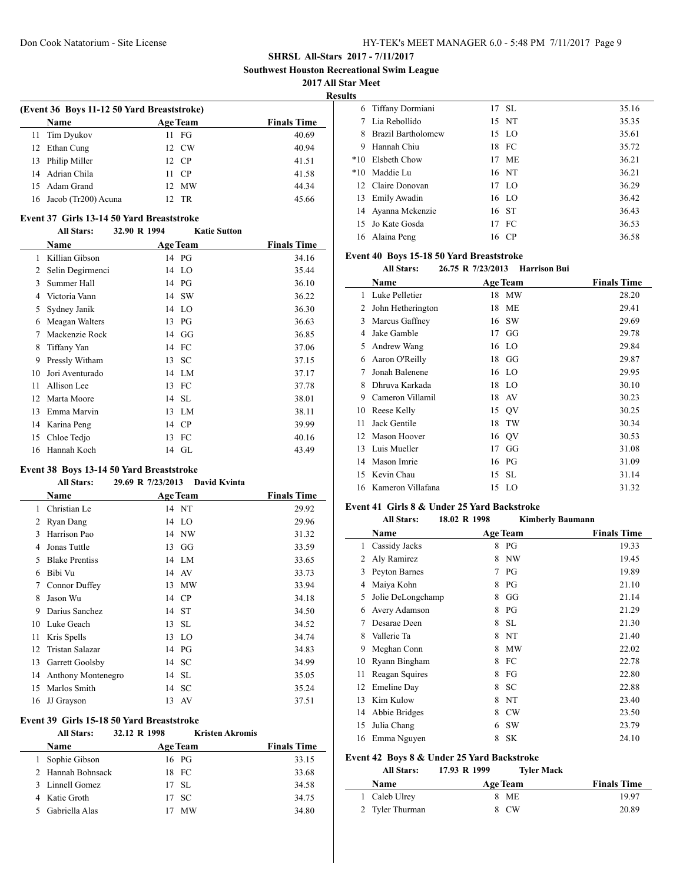**Southwest Houston Recreational Swim League**

**2017 All Star Meet**

 $\overline{\phantom{a}}$ 

 $\overline{a}$ 

**Results**

| (Event 36 Boys 11-12 50 Yard Breaststroke) |    |                      |                    |  |  |
|--------------------------------------------|----|----------------------|--------------------|--|--|
| Name                                       |    | <b>Age Team</b>      | <b>Finals Time</b> |  |  |
| 11 Tim Dyukov                              |    | $11 \quad \text{FG}$ | 40.69              |  |  |
| 12 Ethan Cung                              |    | 12 CW                | 40.94              |  |  |
| 13 Philip Miller                           |    | 12 CP                | 41.51              |  |  |
| 14 Adrian Chila                            | 11 | - CP                 | 41.58              |  |  |
| 15 Adam Grand                              |    | 12 MW                | 44.34              |  |  |
| 16 Jacob (Tr200) Acuna                     |    | TR                   | 45.66              |  |  |

#### **Event 37 Girls 13-14 50 Yard Breaststroke**

#### **All Stars: 32.90 R 1994 Katie Sutton**

|    | <b>Name</b>      | <b>Age Team</b> | <b>Finals Time</b> |
|----|------------------|-----------------|--------------------|
| 1  | Killian Gibson   | 14 PG           | 34.16              |
| 2  | Selin Degirmenci | 14 LO           | 35.44              |
| 3  | Summer Hall      | PG<br>14        | 36.10              |
| 4  | Victoria Vann    | 14 SW           | 36.22              |
| 5  | Sydney Janik     | 14 LO           | 36.30              |
| 6  | Meagan Walters   | 13 PG           | 36.63              |
| 7  | Mackenzie Rock   | 14 GG           | 36.85              |
| 8  | Tiffany Yan      | FC<br>14        | 37.06              |
| 9  | Pressly Witham   | SC<br>13        | 37.15              |
| 10 | Jori Aventurado  | 14 LM           | 37.17              |
| 11 | Allison Lee      | 13 FC           | 37.78              |
| 12 | Marta Moore      | 14 SL           | 38.01              |
| 13 | Emma Marvin      | 13 LM           | 38.11              |
| 14 | Karina Peng      | <b>CP</b><br>14 | 39.99              |
| 15 | Chloe Tedjo      | FC<br>13        | 40.16              |
| 16 | Hannah Koch      | 14 GL           | 43.49              |

### **Event 38 Boys 13-14 50 Yard Breaststroke**

|    | <b>All Stars:</b>     | 29.69 R 7/23/2013 | <b>David Kvinta</b> |                    |
|----|-----------------------|-------------------|---------------------|--------------------|
|    | Name                  | <b>Age Team</b>   |                     | <b>Finals Time</b> |
| 1  | Christian Le          | 14 NT             |                     | 29.92              |
| 2  | Ryan Dang             | 14 LO             |                     | 29.96              |
| 3  | Harrison Pao          |                   | 14 NW               | 31.32              |
| 4  | Jonas Tuttle          | 13                | GG                  | 33.59              |
| 5  | <b>Blake Prentiss</b> | 14 LM             |                     | 33.65              |
| 6  | Bibi Vu               | 14 AV             |                     | 33.73              |
| 7  | Connor Duffey         |                   | 13 MW               | 33.94              |
| 8  | Jason Wu              | 14 CP             |                     | 34.18              |
| 9  | Darius Sanchez        | 14 ST             |                     | 34.50              |
| 10 | Luke Geach            | 13 SL             |                     | 34.52              |
| 11 | Kris Spells           | 13 LO             |                     | 34.74              |
| 12 | Tristan Salazar       | 14 PG             |                     | 34.83              |
| 13 | Garrett Goolsby       | 14 SC             |                     | 34.99              |
| 14 | Anthony Montenegro    | 14 SL             |                     | 35.05              |
| 15 | Marlos Smith          | 14 SC             |                     | 35.24              |
| 16 | JJ Grayson            | 13 AV             |                     | 37.51              |

### **Event 39 Girls 15-18 50 Yard Breaststroke**

| <b>All Stars:</b> | 32.12 R 1998 | <b>Kristen Akromis</b> |                    |
|-------------------|--------------|------------------------|--------------------|
| <b>Name</b>       |              | Age Team               | <b>Finals Time</b> |
| 1 Sophie Gibson   |              | 16 PG                  | 33.15              |
| 2 Hannah Bohnsack |              | 18 FC                  | 33.68              |
| 3 Linnell Gomez   |              | $17$ SL                | 34.58              |
| 4 Katie Groth     |              | 17 SC                  | 34.75              |
| 5 Gabriella Alas  |              | <b>MW</b>              | 34.80              |

|   | 6 Tiffany Dormiani | 17 SL | 35.16 |
|---|--------------------|-------|-------|
|   | Lia Rebollido      | 15 NT | 35.35 |
| 8 | Brazil Bartholomew | 15 LO | 35.61 |
| 9 | Hannah Chiu        | 18 FC | 35.72 |
|   | *10 Elsheth Chow   | 17 ME | 36.21 |
|   | *10 Maddie Lu      | 16 NT | 36.21 |
|   | 12 Claire Donovan  | 17 LO | 36.29 |
|   | 13 Emily Awadin    | 16 LO | 36.42 |
|   | 14 Ayanna Mckenzie | 16 ST | 36.43 |
|   | 15 Jo Kate Gosda   | 17 FC | 36.53 |
|   | 16 Alaina Peng     | 16 CP | 36.58 |

#### **Event 40 Boys 15-18 50 Yard Breaststroke**

**All Stars: 26.75 R 7/23/2013 Harrison Bui**

|    | Name              |    | <b>Age Team</b> | <b>Finals Time</b> |  |  |
|----|-------------------|----|-----------------|--------------------|--|--|
| 1  | Luke Pelletier    |    | 18 MW           | 28.20              |  |  |
| 2  | John Hetherington | 18 | МE              | 29.41              |  |  |
| 3  | Marcus Gaffney    | 16 | -SW             | 29.69              |  |  |
| 4  | Jake Gamble       | 17 | GG              | 29.78              |  |  |
| 5  | Andrew Wang       |    | 16 LO           | 29.84              |  |  |
| 6  | Aaron O'Reilly    |    | $18$ GG         | 29.87              |  |  |
| 7  | Jonah Balenene    |    | 16 LO           | 29.95              |  |  |
| 8  | Dhruva Karkada    |    | 18 LO           | 30.10              |  |  |
| 9  | Cameron Villamil  | 18 | AV              | 30.23              |  |  |
| 10 | Reese Kelly       |    | 15 QV           | 30.25              |  |  |
| 11 | Jack Gentile      | 18 | TW              | 30.34              |  |  |
| 12 | Mason Hoover      |    | 16 QV           | 30.53              |  |  |
| 13 | Luis Mueller      | 17 | GG              | 31.08              |  |  |
| 14 | Mason Imrie       |    | 16 PG           | 31.09              |  |  |
| 15 | Kevin Chau        |    | 15 SL           | 31.14              |  |  |
| 16 | Kameron Villafana |    | 15 LO           | 31.32              |  |  |

#### **Event 41 Girls 8 & Under 25 Yard Backstroke**

| <b>All Stars:</b> |   |                                   |                                            |
|-------------------|---|-----------------------------------|--------------------------------------------|
| Name              |   |                                   | <b>Finals Time</b>                         |
| Cassidy Jacks     | 8 | PG                                | 19.33                                      |
| Aly Ramirez       | 8 | NW                                | 19.45                                      |
| Peyton Barnes     | 7 | PG                                | 19.89                                      |
| Maiya Kohn        | 8 | PG                                | 21.10                                      |
|                   | 8 | GG                                | 21.14                                      |
| Avery Adamson     | 8 | PG                                | 21.29                                      |
| Desarae Deen      | 8 | SL.                               | 21.30                                      |
| Vallerie Ta       | 8 | NT                                | 21.40                                      |
| Meghan Conn       | 8 | <b>MW</b>                         | 22.02                                      |
| Ryann Bingham     | 8 | FC                                | 22.78                                      |
| Reagan Squires    | 8 | FG                                | 22.80                                      |
| Emeline Day       | 8 | SC                                | 22.88                                      |
| Kim Kulow         | 8 | NT                                | 23.40                                      |
| Abbie Bridges     | 8 | <b>CW</b>                         | 23.50                                      |
| Julia Chang       | 6 | <b>SW</b>                         | 23.79                                      |
| Emma Nguyen       | 8 | <b>SK</b>                         | 24.10                                      |
|                   |   | 18.02 R 1998<br>Jolie DeLongchamp | <b>Kimberly Baumann</b><br><b>Age Team</b> |

### **Event 42 Boys 8 & Under 25 Yard Backstroke**

| <b>All Stars:</b> | 17.93 R 1999 | <b>Tyler Mack</b> |                    |
|-------------------|--------------|-------------------|--------------------|
| <b>Name</b>       | Age Team     |                   | <b>Finals Time</b> |
| 1 Caleb Ulrey     | 8 ME         |                   | 1997               |
| 2 Tyler Thurman   | 8 CW         |                   | 20.89              |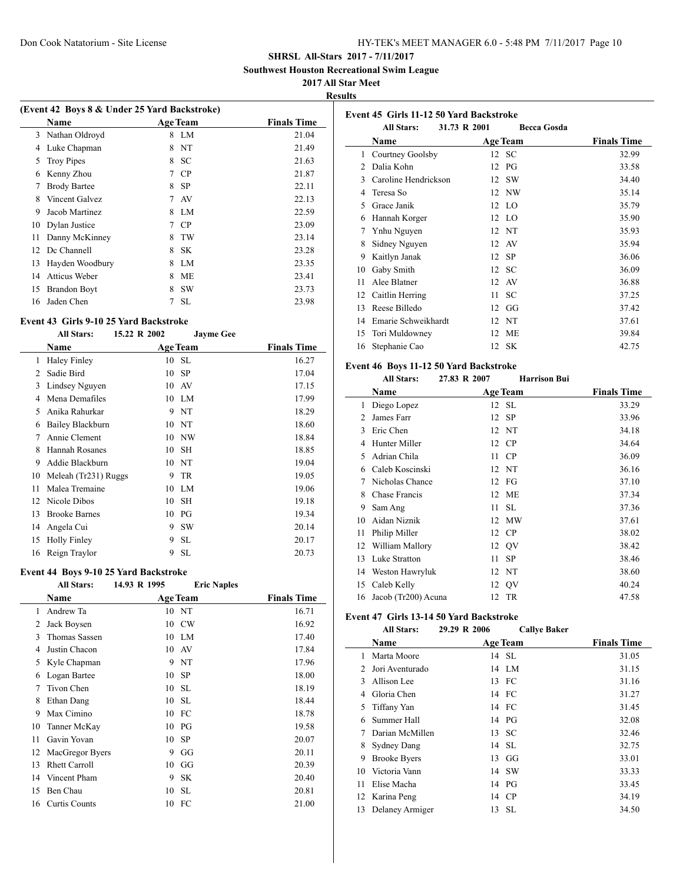**Southwest Houston Recreational Swim League**

#### **2017 All Star Meet**

**Results**

L.

|                                                      | (Event 42 Boys 8 & Under 25 Yard Backstroke) |                |       |  |  |  |
|------------------------------------------------------|----------------------------------------------|----------------|-------|--|--|--|
| <b>Name</b><br><b>Age Team</b><br><b>Finals Time</b> |                                              |                |       |  |  |  |
| 3                                                    | Nathan Oldroyd                               | LM<br>8        | 21.04 |  |  |  |
| 4                                                    | Luke Chapman                                 | NT<br>8        | 21.49 |  |  |  |
| 5                                                    | <b>Troy Pipes</b>                            | 8<br><b>SC</b> | 21.63 |  |  |  |
| 6                                                    | Kenny Zhou                                   | CP.<br>7       | 21.87 |  |  |  |
| 7                                                    | <b>Brody Bartee</b>                          | <b>SP</b><br>8 | 22.11 |  |  |  |
| 8                                                    | Vincent Galvez                               | 7<br>AV        | 22.13 |  |  |  |
| 9                                                    | Jacob Martinez                               | LM.<br>8       | 22.59 |  |  |  |
| 10                                                   | Dylan Justice                                | CP.<br>7       | 23.09 |  |  |  |
| 11                                                   | Danny McKinney                               | TW<br>8        | 23.14 |  |  |  |
| 12.                                                  | Dc Channell                                  | <b>SK</b><br>8 | 23.28 |  |  |  |
| 13                                                   | Hayden Woodbury                              | LM<br>8        | 23.35 |  |  |  |
| 14                                                   | Atticus Weber                                | ME<br>8        | 23.41 |  |  |  |
| 15                                                   | <b>Brandon Boyt</b>                          | <b>SW</b><br>8 | 23.73 |  |  |  |
| 16                                                   | Jaden Chen                                   | <b>SL</b>      | 23.98 |  |  |  |

#### **Event 43 Girls 9-10 25 Yard Backstroke**

|    | <b>All Stars:</b>    | 15.22 R 2002 | <b>Jayme Gee</b> |                    |
|----|----------------------|--------------|------------------|--------------------|
|    | Name                 |              | <b>Age Team</b>  | <b>Finals Time</b> |
| 1  | <b>Haley Finley</b>  | 10           | <b>SL</b>        | 16.27              |
| 2  | Sadie Bird           | 10           | <b>SP</b>        | 17.04              |
| 3  | Lindsey Nguyen       | 10           | AV               | 17.15              |
| 4  | Mena Demafiles       | 10           | LM               | 17.99              |
| 5  | Anika Rahurkar       | 9            | NT               | 18.29              |
| 6  | Bailey Blackburn     | 10           | NT               | 18.60              |
| 7  | Annie Clement        | 10           | NW               | 18.84              |
| 8  | Hannah Rosanes       | 10           | <b>SH</b>        | 18.85              |
| 9  | Addie Blackburn      | 10           | NT               | 19.04              |
| 10 | Meleah (Tr231) Ruggs | 9            | TR               | 19.05              |
| 11 | Malea Tremaine       | 10           | LM               | 19.06              |
| 12 | Nicole Dibos         | 10           | <b>SH</b>        | 19.18              |
| 13 | <b>Brooke Barnes</b> | 10           | PG               | 19.34              |
| 14 | Angela Cui           | 9            | <b>SW</b>        | 20.14              |
| 15 | <b>Holly Finley</b>  | 9            | <b>SL</b>        | 20.17              |
| 16 | Reign Traylor        | 9            | <b>SL</b>        | 20.73              |

### **Event 44 Boys 9-10 25 Yard Backstroke**

|    | <b>All Stars:</b>    | 14.93 R 1995 | <b>Eric Naples</b> |                    |
|----|----------------------|--------------|--------------------|--------------------|
|    | Name                 |              | <b>Age Team</b>    | <b>Finals Time</b> |
| 1  | Andrew Ta            |              | 10 NT              | 16.71              |
| 2  | Jack Boysen          |              | 10 CW              | 16.92              |
| 3  | <b>Thomas Sassen</b> |              | 10 LM              | 17.40              |
| 4  | Justin Chacon        |              | 10 AV              | 17.84              |
| 5  | Kyle Chapman         | 9            | NT                 | 17.96              |
| 6  | Logan Bartee         | 10           | <b>SP</b>          | 18.00              |
| 7  | Tivon Chen           | 10           | <b>SL</b>          | 18.19              |
| 8  | Ethan Dang           |              | 10 SL              | 18.44              |
| 9  | Max Cimino           |              | 10 FC              | 18.78              |
| 10 | Tanner McKay         |              | 10 PG              | 19.58              |
| 11 | Gavin Yovan          | 10           | <b>SP</b>          | 20.07              |
| 12 | MacGregor Byers      | 9            | GG                 | 20.11              |
| 13 | <b>Rhett Carroll</b> | 10           | GG                 | 20.39              |
| 14 | Vincent Pham         | 9            | <b>SK</b>          | 20.40              |
| 15 | Ben Chau             | 10           | <b>SL</b>          | 20.81              |
| 16 | Curtis Counts        | 10           | FC                 | 21.00              |

|               | <b>All Stars:</b>    | 31.73 R 2001 | <b>Becca Gosda</b> |                    |
|---------------|----------------------|--------------|--------------------|--------------------|
|               | Name                 |              | <b>Age Team</b>    | <b>Finals Time</b> |
| 1             | Courtney Goolsby     |              | 12 SC              | 32.99              |
| $\mathcal{L}$ | Dalia Kohn           | 12           | PG                 | 33.58              |
| 3             | Caroline Hendrickson | 12           | <b>SW</b>          | 34.40              |
| 4             | Teresa So            |              | 12 NW              | 35.14              |
| 5             | Grace Janik          |              | 12 LO              | 35.79              |
| 6             | Hannah Korger        |              | 12 LO              | 35.90              |
| 7             | Ynhu Nguyen          |              | 12 NT              | 35.93              |
| 8             | Sidney Nguyen        |              | 12 AV              | 35.94              |
| 9             | Kaitlyn Janak        |              | 12 SP              | 36.06              |
| 10            | Gaby Smith           |              | 12 SC              | 36.09              |
| 11            | Alee Blatner         | 12           | AV                 | 36.88              |
| 12            | Caitlin Herring      | 11           | SС                 | 37.25              |
| 13            | Reese Billedo        | 12           | GG                 | 37.42              |
| 14            | Emarie Schweikhardt  | 12           | NT                 | 37.61              |
| 15            | Tori Muldowney       | 12           | МE                 | 39.84              |
| 16            | Stephanie Cao        |              | 12 SK              | 42.75              |

#### **Event 46 Boys 11-12 50 Yard Backstroke**

**Event 45 Girls 11-12 50 Yard Backstroke**

## **All Stars: 27.83 R 2007 Harrison Bui**

|    | Name                 |    | <b>Age Team</b> | <b>Finals Time</b> |
|----|----------------------|----|-----------------|--------------------|
| 1  | Diego Lopez          |    | 12 SL           | 33.29              |
| 2  | James Farr           |    | 12 SP           | 33.96              |
| 3  | Eric Chen            |    | 12 NT           | 34.18              |
| 4  | Hunter Miller        |    | 12 CP           | 34.64              |
| 5  | Adrian Chila         | 11 | <b>CP</b>       | 36.09              |
| 6  | Caleb Koscinski      |    | 12 NT           | 36.16              |
| 7  | Nicholas Chance      |    | 12 FG           | 37.10              |
| 8  | <b>Chase Francis</b> | 12 | МE              | 37.34              |
| 9  | Sam Ang              | 11 | SL.             | 37.36              |
| 10 | Aidan Niznik         | 12 | MW              | 37.61              |
| 11 | Philip Miller        |    | 12 CP           | 38.02              |
| 12 | William Mallory      |    | 12 QV           | 38.42              |
| 13 | Luke Stratton        | 11 | <b>SP</b>       | 38.46              |
| 14 | Weston Hawryluk      |    | 12 NT           | 38.60              |
| 15 | Caleb Kelly          |    | 12 QV           | 40.24              |
| 16 | Jacob (Tr200) Acuna  | 12 | TR              | 47.58              |

#### **Event 47 Girls 13-14 50 Yard Backstroke**

| <b>All Stars:</b> | 29.29 R 2006 | <b>Callye Baker</b> |
|-------------------|--------------|---------------------|

|               | Name                |    | <b>Age Team</b> | <b>Finals Time</b> |
|---------------|---------------------|----|-----------------|--------------------|
|               | Marta Moore         |    | 14 SL           | 31.05              |
| $\mathcal{L}$ | Jori Aventurado     |    | 14 LM           | 31.15              |
| 3             | Allison Lee         |    | 13 FC           | 31.16              |
| 4             | Gloria Chen         |    | 14 FC           | 31.27              |
| 5.            | Tiffany Yan         |    | 14 FC           | 31.45              |
| 6             | Summer Hall         |    | 14 PG           | 32.08              |
|               | Darian McMillen     |    | 13 SC           | 32.46              |
| 8             | <b>Sydney Dang</b>  |    | 14 SL           | 32.75              |
| 9             | <b>Brooke Byers</b> |    | $13 \text{ GG}$ | 33.01              |
| 10            | Victoria Vann       |    | 14 SW           | 33.33              |
| 11            | Elise Macha         |    | 14 PG           | 33.45              |
| 12            | Karina Peng         |    | 14 CP           | 34.19              |
| 13            | Delaney Armiger     | 13 | -SL             | 34.50              |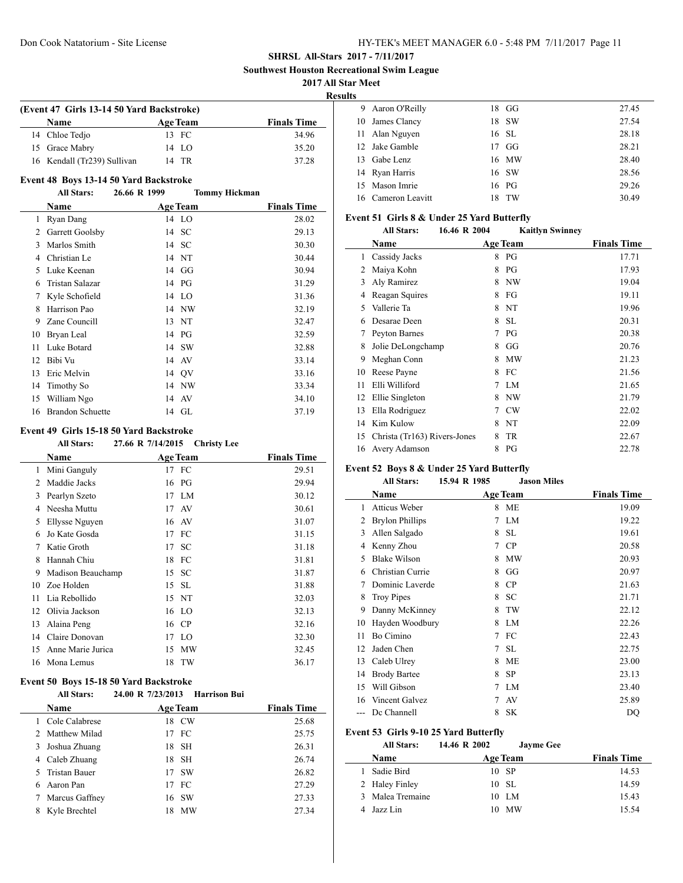**Southwest Houston Recreational Swim League**

**2017 All Star Meet**

**Results**

| (Event 47 Girls 13-14 50 Yard Backstroke) |                 |                    |  |  |
|-------------------------------------------|-----------------|--------------------|--|--|
| Name                                      | <b>Age Team</b> | <b>Finals Time</b> |  |  |
| 14 Chloe Tedio                            | 13 FC           | 34.96              |  |  |
| 15 Grace Mabry                            | 14 LO           | 35.20              |  |  |
| 16 Kendall (Tr239) Sullivan               | 14 TR           | 37.28              |  |  |

#### **Event 48 Boys 13-14 50 Yard Backstroke**

#### **All Stars: 26.66 R 1999 Tommy Hickman**

|    | Name                    | <b>Age Team</b> | <b>Finals Time</b> |
|----|-------------------------|-----------------|--------------------|
| 1  | Ryan Dang               | 14 LO           | 28.02              |
| 2  | Garrett Goolsby         | 14 SC           | 29.13              |
| 3  | Marlos Smith            | 14 SC           | 30.30              |
| 4  | Christian Le            | 14 NT           | 30.44              |
| 5  | Luke Keenan             | 14 GG           | 30.94              |
| 6  | Tristan Salazar         | 14 PG           | 31.29              |
| 7  | Kyle Schofield          | 14 LO           | 31.36              |
| 8  | Harrison Pao            | 14 NW           | 32.19              |
| 9  | Zane Councill           | 13 NT           | 32.47              |
| 10 | Bryan Leal              | 14 PG           | 32.59              |
| 11 | Luke Botard             | 14 SW           | 32.88              |
| 12 | Bibi Vu                 | 14 AV           | 33.14              |
| 13 | Eric Melvin             | 14 QV           | 33.16              |
| 14 | Timothy So              | 14 NW           | 33.34              |
| 15 | William Ngo             | 14 AV           | 34.10              |
| 16 | <b>Brandon Schuette</b> | 14 GL           | 37.19              |

#### **Event 49 Girls 15-18 50 Yard Backstroke**

|    | <b>All Stars:</b> | 27.66 R 7/14/2015 Christy Lee |               |                    |
|----|-------------------|-------------------------------|---------------|--------------------|
|    | Name              | <b>Age Team</b>               |               | <b>Finals Time</b> |
| 1  | Mini Ganguly      | 17 FC                         |               | 29.51              |
| 2  | Maddie Jacks      | 16 PG                         |               | 29.94              |
| 3  | Pearlyn Szeto     | 17 LM                         |               | 30.12              |
| 4  | Neesha Muttu      | 17                            | AV            | 30.61              |
| 5  | Ellysse Nguyen    | 16                            | AV            | 31.07              |
| 6  | Jo Kate Gosda     | 17                            | FC            | 31.15              |
| 7  | Katie Groth       | 17                            | <b>SC</b>     | 31.18              |
| 8  | Hannah Chiu       | 18 FC                         |               | 31.81              |
| 9  | Madison Beauchamp | 15 SC                         |               | 31.87              |
| 10 | Zoe Holden        | 15 SL                         |               | 31.88              |
| 11 | Lia Rebollido     | 15 NT                         |               | 32.03              |
| 12 | Olivia Jackson    | 16 LO                         |               | 32.13              |
| 13 | Alaina Peng       | 16 CP                         |               | 32.16              |
| 14 | Claire Donovan    | 17                            | <sup>LO</sup> | 32.30              |
| 15 | Anne Marie Jurica | 15                            | MW            | 32.45              |
| 16 | Mona Lemus        | 18 TW                         |               | 36.17              |

### **Event 50 Boys 15-18 50 Yard Backstroke**

### **All Stars: 24.00 R 7/23/2013 Harrison Bui**

| Name           |                                                                                     | <b>Finals Time</b>                                                                      |
|----------------|-------------------------------------------------------------------------------------|-----------------------------------------------------------------------------------------|
| Cole Calabrese |                                                                                     | 25.68                                                                                   |
|                |                                                                                     | 25.75                                                                                   |
| Joshua Zhuang  |                                                                                     | 26.31                                                                                   |
|                |                                                                                     | 26.74                                                                                   |
|                |                                                                                     | 26.82                                                                                   |
|                |                                                                                     | 27.29                                                                                   |
|                |                                                                                     | 27.33                                                                                   |
| Kyle Brechtel  |                                                                                     | 27.34                                                                                   |
|                | 2 Matthew Milad<br>4 Caleb Zhuang<br>5 Tristan Bauer<br>Aaron Pan<br>Marcus Gaffney | <b>Age Team</b><br>18 CW<br>17 FC<br>18 SH<br>18 SH<br>17 SW<br>17 FC<br>16 SW<br>18 MW |

| IJ. |                    |     |         |       |
|-----|--------------------|-----|---------|-------|
|     | 9 Aaron O'Reilly   |     | 18 GG   | 27.45 |
| 10  | James Clancy       |     | 18 SW   | 27.54 |
|     | 11 Alan Nguyen     |     | 16 SL   | 28.18 |
|     | 12 Jake Gamble     |     | $17$ GG | 28.21 |
| 13  | Gabe Lenz          |     | 16 MW   | 28.40 |
|     | 14 Ryan Harris     |     | 16 SW   | 28.56 |
|     | 15 Mason Imrie     |     | 16 PG   | 29.26 |
|     | 16 Cameron Leavitt | 18. | TW      | 30.49 |

### **Event 51 Girls 8 & Under 25 Yard Butterfly**

#### **All Stars: 16.46 R 2004 Kaitlyn Swinney**

|    | Name                         |   | <b>Age Team</b> | <b>Finals Time</b> |
|----|------------------------------|---|-----------------|--------------------|
| 1  | Cassidy Jacks                |   | 8 PG            | 17.71              |
| 2  | Maiya Kohn                   | 8 | PG              | 17.93              |
| 3  | Aly Ramirez                  | 8 | NW              | 19.04              |
| 4  | Reagan Squires               | 8 | FG              | 19.11              |
| 5  | Vallerie Ta                  | 8 | NT              | 19.96              |
| 6  | Desarae Deen                 | 8 | <b>SL</b>       | 20.31              |
| 7  | Peyton Barnes                | 7 | PG              | 20.38              |
| 8  | Jolie DeLongchamp            | 8 | GG              | 20.76              |
| 9  | Meghan Conn                  | 8 | MW              | 21.23              |
| 10 | Reese Payne                  | 8 | FC              | 21.56              |
| 11 | Elli Williford               | 7 | LM              | 21.65              |
| 12 | Ellie Singleton              | 8 | NW              | 21.79              |
| 13 | Ella Rodriguez               | 7 | <b>CW</b>       | 22.02              |
| 14 | Kim Kulow                    | 8 | NT              | 22.09              |
| 15 | Christa (Tr163) Rivers-Jones | 8 | <b>TR</b>       | 22.67              |
| 16 | Avery Adamson                | 8 | PG              | 22.78              |

# **Event 52 Boys 8 & Under 25 Yard Butterfly**

|    | <b>All Stars:</b>      | 15.94 R 1985 | <b>Jason Miles</b> |                    |
|----|------------------------|--------------|--------------------|--------------------|
|    | Name                   |              | <b>Age Team</b>    | <b>Finals Time</b> |
| 1  | <b>Atticus Weber</b>   | 8            | ME                 | 19.09              |
| 2  | <b>Brylon Phillips</b> | 7            | LM                 | 19.22              |
| 3  | Allen Salgado          | 8            | <b>SL</b>          | 19.61              |
| 4  | Kenny Zhou             | 7            | <b>CP</b>          | 20.58              |
| 5  | <b>Blake Wilson</b>    | 8            | MW                 | 20.93              |
| 6  | Christian Currie       | 8            | GG                 | 20.97              |
| 7  | Dominic Laverde        | 8            | CP                 | 21.63              |
| 8  | <b>Troy Pipes</b>      | 8            | <b>SC</b>          | 21.71              |
| 9  | Danny McKinney         | 8            | TW                 | 22.12              |
| 10 | Hayden Woodbury        | 8            | LM                 | 22.26              |
| 11 | Bo Cimino              | 7            | FC                 | 22.43              |
| 12 | Jaden Chen             | 7            | <b>SL</b>          | 22.75              |
| 13 | Caleb Ulrey            | 8            | ME                 | 23.00              |
| 14 | <b>Brody Bartee</b>    | 8            | <b>SP</b>          | 23.13              |
| 15 | Will Gibson            | 7            | LM                 | 23.40              |
| 16 | Vincent Galvez         | 7            | AV                 | 25.89              |
|    | Dc Channell            | 8            | <b>SK</b>          | DO                 |

#### **Event 53 Girls 9-10 25 Yard Butterfly**

 $\overline{a}$ 

#### **All Stars: 14.46 R 2002 Jayme Gee**

| <b>Name</b>      | <b>Age Team</b> | <b>Finals Time</b> |
|------------------|-----------------|--------------------|
| Sadie Bird       | 10 SP           | 14.53              |
| 2 Haley Finley   | 10 SL           | 14.59              |
| 3 Malea Tremaine | 10 LM           | 15.43              |
| 4 Jazz Lin       | 10 MW           | 15.54              |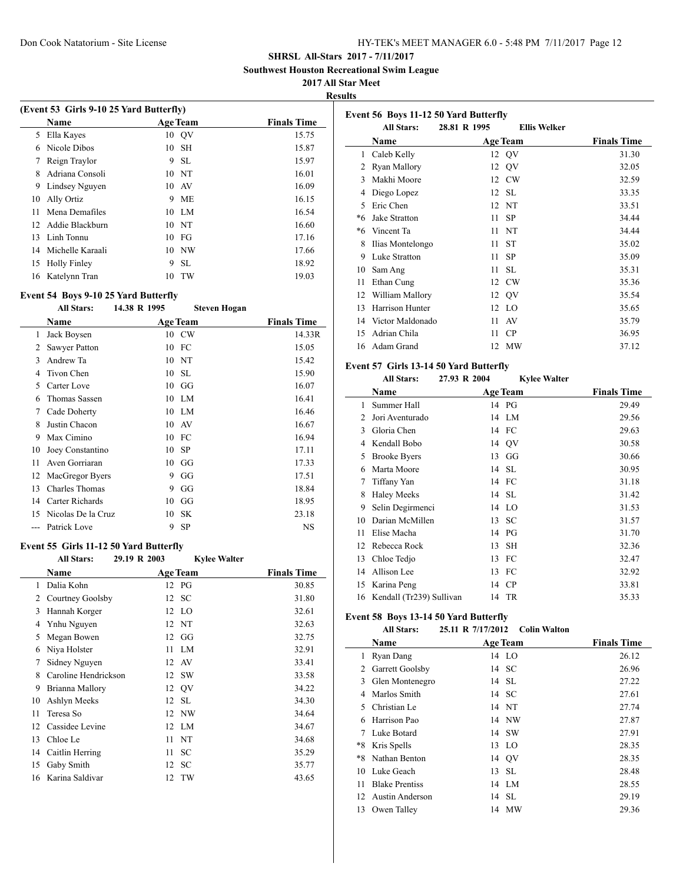**Southwest Houston Recreational Swim League**

#### **2017 All Star Meet**

**Results**

|    | (Event 53 Girls 9-10 25 Yard Butterfly) |    |                 |                    |  |  |
|----|-----------------------------------------|----|-----------------|--------------------|--|--|
|    | <b>Name</b>                             |    | <b>Age Team</b> | <b>Finals Time</b> |  |  |
| 5. | Ella Kayes                              | 10 | QV              | 15.75              |  |  |
| 6  | Nicole Dibos                            | 10 | <b>SH</b>       | 15.87              |  |  |
|    | Reign Traylor                           | 9  | -SL             | 15.97              |  |  |
| 8  | Adriana Consoli                         | 10 | - NT            | 16.01              |  |  |
| 9  | Lindsey Nguyen                          |    | 10 AV           | 16.09              |  |  |
| 10 | Ally Ortiz                              | 9  | <b>ME</b>       | 16.15              |  |  |
| 11 | Mena Demafiles                          | 10 | LM.             | 16.54              |  |  |
| 12 | Addie Blackburn                         |    | 10 N            | 16.60              |  |  |
| 13 | Linh Tonnu                              | 10 | - FG            | 17.16              |  |  |
| 14 | Michelle Karaali                        | 10 | NW              | 17.66              |  |  |
| 15 | <b>Holly Finley</b>                     | 9  | <b>SL</b>       | 18.92              |  |  |
| 16 | Katelynn Tran                           | 10 | TW              | 19.03              |  |  |

#### **Event 54 Boys 9-10 25 Yard Butterfly**

### **All Stars: 14.38 R 1995 Steven Hogan**

|    | Name                 |    | <b>Age Team</b> | <b>Finals Time</b> |
|----|----------------------|----|-----------------|--------------------|
| 1  | Jack Boysen          |    | 10 CW           | 14.33R             |
| 2  | Sawyer Patton        |    | 10 FC           | 15.05              |
| 3  | Andrew Ta            |    | 10 NT           | 15.42              |
| 4  | Tivon Chen           | 10 | <b>SL</b>       | 15.90              |
| 5  | Carter Love          |    | $10\quad G$     | 16.07              |
| 6  | <b>Thomas Sassen</b> |    | 10 LM           | 16.41              |
| 7  | Cade Doherty         |    | 10 LM           | 16.46              |
| 8  | Justin Chacon        |    | 10 AV           | 16.67              |
| 9  | Max Cimino           |    | 10 FC           | 16.94              |
| 10 | Joey Constantino     | 10 | <b>SP</b>       | 17.11              |
| 11 | Aven Gorriaran       | 10 | GG              | 17.33              |
| 12 | MacGregor Byers      | 9  | GG              | 17.51              |
| 13 | Charles Thomas       | 9  | GG              | 18.84              |
| 14 | Carter Richards      | 10 | GG              | 18.95              |
| 15 | Nicolas De la Cruz   | 10 | <b>SK</b>       | 23.18              |
|    | Patrick Love         | 9  | <b>SP</b>       | NS                 |

# **Event 55 Girls 11-12 50 Yard Butterfly**

| <b>All Stars:</b> | 29.19 R 2003 | <b>Kylee Walter</b>                      |                                                                                                 |
|-------------------|--------------|------------------------------------------|-------------------------------------------------------------------------------------------------|
| Name              |              |                                          | <b>Finals Time</b>                                                                              |
| Dalia Kohn        |              |                                          | 30.85                                                                                           |
|                   | 12           |                                          | 31.80                                                                                           |
| Hannah Korger     |              |                                          | 32.61                                                                                           |
| Ynhu Nguyen       |              |                                          | 32.63                                                                                           |
| Megan Bowen       | 12           |                                          | 32.75                                                                                           |
| Niya Holster      | 11           | LM                                       | 32.91                                                                                           |
| Sidney Nguyen     | 12           | AV                                       | 33.41                                                                                           |
|                   | 12           | <b>SW</b>                                | 33.58                                                                                           |
| Brianna Mallory   |              |                                          | 34.22                                                                                           |
| Ashlyn Meeks      |              | <b>SL</b>                                | 34.30                                                                                           |
| Teresa So         |              |                                          | 34.64                                                                                           |
| Cassidee Levine   |              |                                          | 34.67                                                                                           |
| Chloe Le          | 11           |                                          | 34.68                                                                                           |
| Caitlin Herring   | 11           | SC                                       | 35.29                                                                                           |
| Gaby Smith        | 12           | SC                                       | 35.77                                                                                           |
| Karina Saldivar   | 12           | TW                                       | 43.65                                                                                           |
|                   |              | Courtney Goolsby<br>Caroline Hendrickson | <b>Age Team</b><br>12 PG<br>- SC<br>12 LO<br>12 NT<br>GG<br>12 QV<br>12<br>12 NW<br>12 LM<br>NT |

|      | Event 56 Boys 11-12 50 Yard Butterfly |              |                     |                    |
|------|---------------------------------------|--------------|---------------------|--------------------|
|      | <b>All Stars:</b>                     | 28.81 R 1995 | <b>Ellis Welker</b> |                    |
|      | Name                                  |              | <b>Age Team</b>     | <b>Finals Time</b> |
| 1    | Caleb Kelly                           |              | 12 QV               | 31.30              |
| 2    | Ryan Mallory                          | 12           | QV                  | 32.05              |
| 3    | Makhi Moore                           |              | 12 CW               | 32.59              |
| 4    | Diego Lopez                           |              | 12 SL               | 33.35              |
| 5    | Eric Chen                             |              | 12 NT               | 33.51              |
| $*6$ | Jake Stratton                         | 11           | <b>SP</b>           | 34.44              |
| *6   | Vincent Ta                            | 11           | NT                  | 34.44              |
| 8    | Ilias Montelongo                      | 11           | <b>ST</b>           | 35.02              |
| 9    | Luke Stratton                         | 11           | <b>SP</b>           | 35.09              |
| 10   | Sam Ang                               | 11           | SL.                 | 35.31              |
| 11   | Ethan Cung                            |              | 12 CW               | 35.36              |
| 12   | William Mallory                       |              | 12 QV               | 35.54              |
| 13   | Harrison Hunter                       |              | 12 LO               | 35.65              |
| 14   | Victor Maldonado                      | 11           | AV                  | 35.79              |
| 15   | Adrian Chila                          | 11           | CP                  | 36.95              |
|      | 16 Adam Grand                         | 12           | MW                  | 37.12              |

#### **Event 57 Girls 13-14 50 Yard Butterfly**

# **All Stars: 27.93 R 2004 Kylee Walter**

|    | Name                     | <b>Age Team</b> | <b>Finals Time</b> |
|----|--------------------------|-----------------|--------------------|
| 1  | Summer Hall              | 14 PG           | 29.49              |
| 2  | Jori Aventurado          | 14 LM           | 29.56              |
| 3  | Gloria Chen              | 14 FC           | 29.63              |
| 4  | Kendall Bobo             | 14 QV           | 30.58              |
| 5  | <b>Brooke Byers</b>      | $13 \text{ GG}$ | 30.66              |
| 6  | Marta Moore              | 14 SL           | 30.95              |
| 7  | Tiffany Yan              | 14 FC           | 31.18              |
| 8  | <b>Haley Meeks</b>       | 14 SL           | 31.42              |
| 9  | Selin Degirmenci         | 14 LO           | 31.53              |
| 10 | Darian McMillen          | 13 SC           | 31.57              |
| 11 | Elise Macha              | 14 PG           | 31.70              |
| 12 | Rebecca Rock             | SH<br>13        | 32.36              |
| 13 | Chloe Tedjo              | FC<br>13        | 32.47              |
| 14 | Allison Lee              | FC<br>13        | 32.92              |
| 15 | Karina Peng              | <b>CP</b><br>14 | 33.81              |
| 16 | Kendall (Tr239) Sullivan | 14 TR           | 35.33              |

### **Event 58 Boys 13-14 50 Yard Butterfly**

#### **All Stars: 25.11 R 7/17/2012 Colin Walton**

|     | Name                  |     | <b>Age Team</b> | <b>Finals Time</b> |
|-----|-----------------------|-----|-----------------|--------------------|
| 1   | Ryan Dang             |     | 14 LO           | 26.12              |
| 2   | Garrett Goolsby       |     | 14 SC           | 26.96              |
| 3   | Glen Montenegro       |     | 14 SL           | 27.22              |
| 4   | Marlos Smith          |     | 14 SC           | 27.61              |
| 5.  | Christian Le          |     | 14 NT           | 27.74              |
| 6   | Harrison Pao          |     | 14 NW           | 27.87              |
| 7   | Luke Botard           |     | 14 SW           | 27.91              |
| *8  | Kris Spells           | 13. | <sup>LO</sup>   | 28.35              |
| *8  | Nathan Benton         |     | 14 OV           | 28.35              |
| 10  | Luke Geach            |     | 13 SL           | 28.48              |
| 11  | <b>Blake Prentiss</b> |     | 14 LM           | 28.55              |
| 12. | Austin Anderson       |     | 14 SL           | 29.19              |
| 13  | Owen Talley           |     | 14 MW           | 29.36              |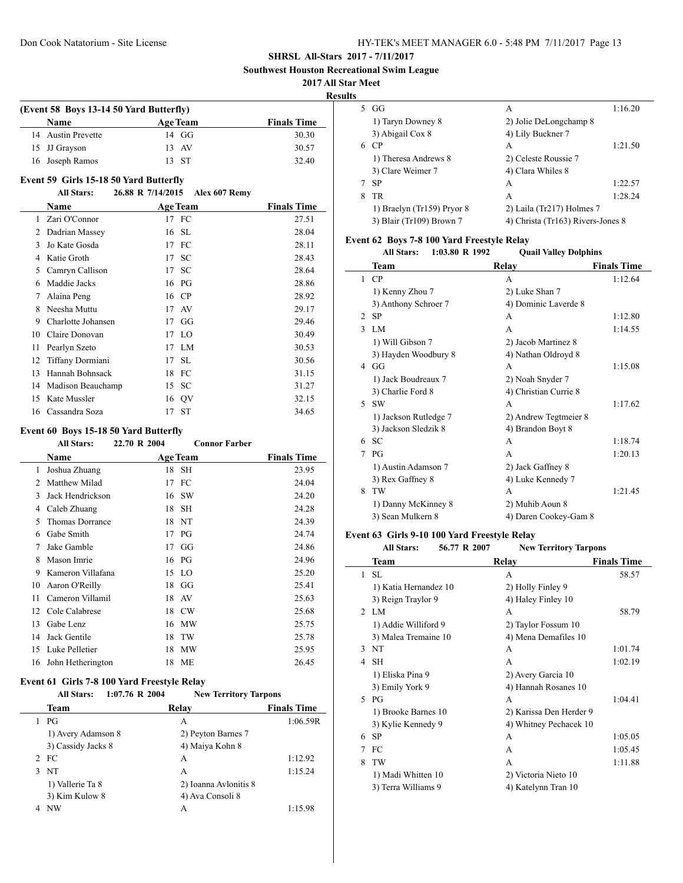**Southwest Houston Recreational Swim League**

#### **2017 All Star Meet**

**Results**

| (Event 58 Boys 13-14 50 Yard Butterfly) |                 |                    |  |  |
|-----------------------------------------|-----------------|--------------------|--|--|
| Name                                    | <b>Age Team</b> | <b>Finals Time</b> |  |  |
| 14 Austin Prevette                      | $14 \text{ G}$  | 30.30              |  |  |
| 15 JJ Grayson                           | 13 AV           | 30.57              |  |  |
| 16 Joseph Ramos                         | 13 ST           | 32.40              |  |  |

#### **Event 59 Girls 15-18 50 Yard Butterfly**

# **All Stars: 26.88 R 7/14/2015 Alex 607 Remy**

|               | Name               |    | <b>Age Team</b> | <b>Finals Time</b> |
|---------------|--------------------|----|-----------------|--------------------|
| $\mathbf{1}$  | Zari O'Connor      |    | 17 FC           | 27.51              |
| $\mathcal{L}$ | Dadrian Massey     | 16 | -SL             | 28.04              |
| 3             | Jo Kate Gosda      |    | 17 FC           | 28.11              |
| 4             | Katie Groth        | 17 | SC              | 28.43              |
| 5             | Camryn Callison    | 17 | <b>SC</b>       | 28.64              |
| 6             | Maddie Jacks       |    | 16 PG           | 28.86              |
| 7             | Alaina Peng        |    | 16 CP           | 28.92              |
| 8             | Neesha Muttu       |    | 17 AV           | 29.17              |
| 9             | Charlotte Johansen | 17 | GG              | 29.46              |
| 10            | Claire Donovan     |    | 17 LO           | 30.49              |
| 11            | Pearlyn Szeto      | 17 | LM              | 30.53              |
| 12            | Tiffany Dormiani   | 17 | SL.             | 30.56              |
| 13            | Hannah Bohnsack    | 18 | FC              | 31.15              |
| 14            | Madison Beauchamp  | 15 | SC              | 31.27              |
| 15            | Kate Mussler       | 16 | QV              | 32.15              |
|               | 16 Cassandra Soza  | 17 | ST              | 34.65              |

#### **Event 60 Boys 15-18 50 Yard Butterfly**

| <b>All Stars:</b> | 22.70 R 2004 | <b>Connor Farber</b>                   |                                                                 |
|-------------------|--------------|----------------------------------------|-----------------------------------------------------------------|
| Name              |              |                                        | <b>Finals Time</b>                                              |
| Joshua Zhuang     | 18           | SH                                     | 23.95                                                           |
| Matthew Milad     | 17           | FC                                     | 24.04                                                           |
| Jack Hendrickson  | 16           |                                        | 24.20                                                           |
| Caleb Zhuang      | 18           | <b>SH</b>                              | 24.28                                                           |
| Thomas Dorrance   | 18           | NT                                     | 24.39                                                           |
| Gabe Smith        | 17           | PG                                     | 24.74                                                           |
| Jake Gamble       | 17           |                                        | 24.86                                                           |
| Mason Imrie       |              |                                        | 24.96                                                           |
|                   | 15           |                                        | 25.20                                                           |
| Aaron O'Reilly    | 18           |                                        | 25.41                                                           |
| Cameron Villamil  | 18           |                                        | 25.63                                                           |
| Cole Calabrese    | 18           |                                        | 25.68                                                           |
| Gabe Lenz         | 16           | МW                                     | 25.75                                                           |
| Jack Gentile      | 18           | TW                                     | 25.78                                                           |
| Luke Pelletier    | 18           | <b>MW</b>                              | 25.95                                                           |
|                   | 18           | МE                                     | 26.45                                                           |
|                   |              | Kameron Villafana<br>John Hetherington | <b>Age Team</b><br>-SW<br>GG<br>16 PG<br>- LO<br>GG<br>AV<br>CW |

# **Event 61 Girls 7-8 100 Yard Freestyle Relay**

**All Stars: 1:07.76 R 2004 New Territory Tarpons**

|   | <b>Team</b>        | Relay                 | <b>Finals Time</b> |
|---|--------------------|-----------------------|--------------------|
|   | PG                 | А                     | 1:06.59R           |
|   | 1) Avery Adamson 8 | 2) Peyton Barnes 7    |                    |
|   | 3) Cassidy Jacks 8 | 4) Maiya Kohn 8       |                    |
|   | 2 FC               | А                     | 1:12.92            |
|   | 3 NT               | А                     | 1:15.24            |
|   | 1) Vallerie Ta 8   | 2) Ioanna Avlonitis 8 |                    |
|   | 3) Kim Kulow 8     | 4) Ava Consoli 8      |                    |
| 4 | NW                 | А                     | 1:15.98            |
|   |                    |                       |                    |

| 5. | GG                         | A                                 | 1:16.20 |
|----|----------------------------|-----------------------------------|---------|
|    | 1) Taryn Downey 8          | 2) Jolie DeLongchamp 8            |         |
|    | 3) Abigail Cox 8           | 4) Lily Buckner 7                 |         |
| 6  | <b>CP</b>                  | A                                 | 1:21.50 |
|    | 1) Theresa Andrews 8       | 2) Celeste Roussie 7              |         |
|    | 3) Clare Weimer 7          | 4) Clara Whiles 8                 |         |
|    | -SP                        | A                                 | 1:22.57 |
| 8  | TR                         | A                                 | 1:28.24 |
|    | 1) Braelyn (Tr159) Pryor 8 | 2) Laila (Tr217) Holmes 7         |         |
|    | 3) Blair (Tr109) Brown 7   | 4) Christa (Tr163) Rivers-Jones 8 |         |

### **Event 62 Boys 7-8 100 Yard Freestyle Relay**

|                               | 1:03.80 R 1992<br><b>All Stars:</b> | <b>Quail Valley Dolphins</b> |                    |
|-------------------------------|-------------------------------------|------------------------------|--------------------|
|                               | Team                                | Relay                        | <b>Finals Time</b> |
| 1                             | CP                                  | A                            | 1:12.64            |
|                               | 1) Kenny Zhou 7                     | 2) Luke Shan 7               |                    |
|                               | 3) Anthony Schroer 7                | 4) Dominic Laverde 8         |                    |
| $\mathfrak{D}_{\mathfrak{p}}$ | <b>SP</b>                           | A                            | 1:12.80            |
| $\mathbf{3}$                  | LM                                  | A                            | 1:14.55            |
|                               | 1) Will Gibson 7                    | 2) Jacob Martinez 8          |                    |
|                               | 3) Hayden Woodbury 8                | 4) Nathan Oldroyd 8          |                    |
| 4                             | GG                                  | A                            | 1:15.08            |
|                               | 1) Jack Boudreaux 7                 | 2) Noah Snyder 7             |                    |
|                               | 3) Charlie Ford 8                   | 4) Christian Currie 8        |                    |
| 5.                            | <b>SW</b>                           | A                            | 1:17.62            |
|                               | 1) Jackson Rutledge 7               | 2) Andrew Tegtmeier 8        |                    |
|                               | 3) Jackson Sledzik 8                | 4) Brandon Boyt 8            |                    |
| 6                             | <b>SC</b>                           | A                            | 1:18.74            |
| 7                             | $P$ G                               | A                            | 1:20.13            |
|                               | 1) Austin Adamson 7                 | 2) Jack Gaffney 8            |                    |
|                               | 3) Rex Gaffney 8                    | 4) Luke Kennedy 7            |                    |
| 8                             | TW                                  | A                            | 1:21.45            |
|                               | 1) Danny McKinney 8                 | 2) Muhib Aoun 8              |                    |
|                               | 3) Sean Mulkern 8                   | 4) Daren Cookey-Gam 8        |                    |

#### **Event 63 Girls 9-10 100 Yard Freestyle Relay**

| <b>All Stars:</b> | 56.77 R 2007 | <b>New Territory Tarpons</b> |  |
|-------------------|--------------|------------------------------|--|
| Team              |              | <b>Finals Time</b><br>Relav  |  |

|              | Team                  | Relav                   | Finals Time |
|--------------|-----------------------|-------------------------|-------------|
| 1            | <b>SL</b>             | A                       | 58.57       |
|              | 1) Katia Hernandez 10 | 2) Holly Finley 9       |             |
|              | 3) Reign Traylor 9    | 4) Haley Finley 10      |             |
| $2^{\circ}$  | LM.                   | A                       | 58.79       |
|              | 1) Addie Williford 9  | 2) Taylor Fossum 10     |             |
|              | 3) Malea Tremaine 10  | 4) Mena Demafiles 10    |             |
| $\mathbf{3}$ | <b>NT</b>             | A                       | 1:01.74     |
| 4            | <b>SH</b>             | A                       | 1:02.19     |
|              | 1) Eliska Pina 9      | 2) Avery Garcia 10      |             |
|              | 3) Emily York 9       | 4) Hannah Rosanes 10    |             |
| $\sim$       | $P$ G                 | A                       | 1:04.41     |
|              | 1) Brooke Barnes 10   | 2) Karissa Den Herder 9 |             |
|              | 3) Kylie Kennedy 9    | 4) Whitney Pechacek 10  |             |
| 6            | SP                    | A                       | 1:05.05     |
|              | FC                    | A                       | 1:05.45     |
| 8            | TW                    | A                       | 1:11.88     |
|              | 1) Madi Whitten 10    | 2) Victoria Nieto 10    |             |
|              | 3) Terra Williams 9   | 4) Katelynn Tran 10     |             |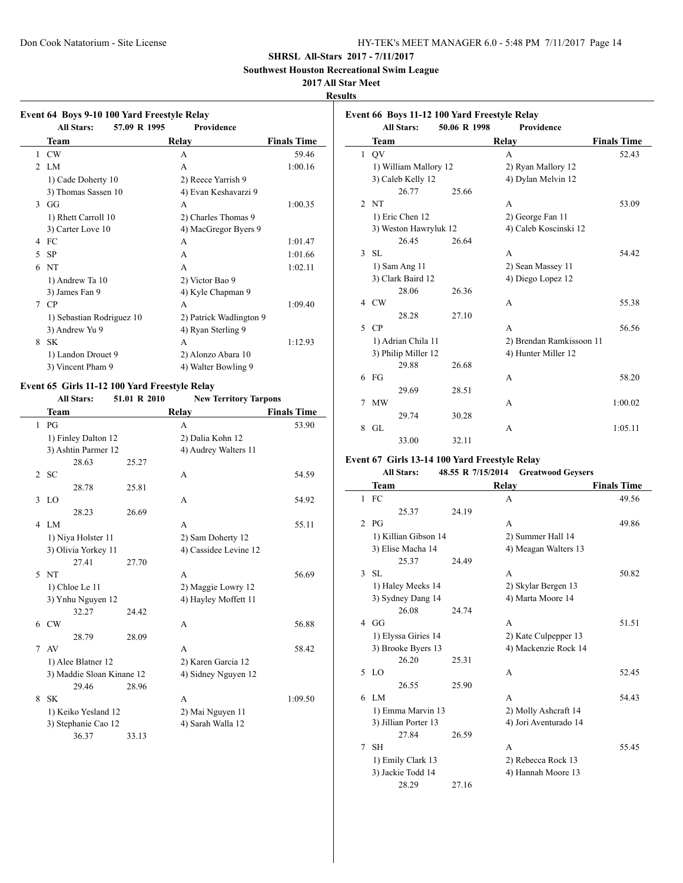**Southwest Houston Recreational Swim League**

# **2017 All Star Meet**

**Results**

 $\overline{a}$ 

|               | 57.09 R 1995<br><b>All Stars:</b> | Providence              |                    |
|---------------|-----------------------------------|-------------------------|--------------------|
|               | Team                              | Relay                   | <b>Finals Time</b> |
| 1             | CW                                | A                       | 59.46              |
|               | $2$ I.M                           | A                       | 1:00.16            |
|               | 1) Cade Doherty 10                | 2) Reece Yarrish 9      |                    |
|               | 3) Thomas Sassen 10               | 4) Evan Keshavarzi 9    |                    |
| $\mathcal{E}$ | GG                                | A                       | 1:00.35            |
|               | 1) Rhett Carroll 10               | 2) Charles Thomas 9     |                    |
|               | 3) Carter Love 10                 | 4) MacGregor Byers 9    |                    |
| 4             | FC                                | A                       | 1:01.47            |
| 5             | <b>SP</b>                         | A                       | 1:01.66            |
| 6             | <b>NT</b>                         | A                       | 1:02.11            |
|               | 1) Andrew Ta 10                   | 2) Victor Bao 9         |                    |
|               | 3) James Fan 9                    | 4) Kyle Chapman 9       |                    |
| 7             | <b>CP</b>                         | A                       | 1:09.40            |
|               | 1) Sebastian Rodriguez 10         | 2) Patrick Wadlington 9 |                    |
|               | 3) Andrew Yu 9                    | 4) Ryan Sterling 9      |                    |
| 8             | <b>SK</b>                         | A                       | 1:12.93            |
|               | 1) Landon Drouet 9                | 2) Alonzo Abara 10      |                    |
|               | 3) Vincent Pham 9                 | 4) Walter Bowling 9     |                    |

# **Event 65 Girls 11-12 100 Yard Freestyle Relay**

L

**All Stars: 51.01 R 2010 New Territory Tarpons**

|              | <b>Team</b>               |       | Relay                 | <b>Finals Time</b> |
|--------------|---------------------------|-------|-----------------------|--------------------|
|              | $1$ PG                    |       | A                     | 53.90              |
|              | 1) Finley Dalton 12       |       | 2) Dalia Kohn 12      |                    |
|              | 3) Ashtin Parmer 12       |       | 4) Audrey Walters 11  |                    |
|              | 28.63                     | 25.27 |                       |                    |
| $\mathbf{2}$ | <b>SC</b>                 |       | A                     | 54.59              |
|              | 28.78                     | 25.81 |                       |                    |
| 3            | LO                        |       | A                     | 54.92              |
|              | 28.23                     | 26.69 |                       |                    |
| 4            | LM.                       |       | A                     | 55.11              |
|              | 1) Niya Holster 11        |       | 2) Sam Doherty 12     |                    |
|              | 3) Olivia Yorkey 11       |       | 4) Cassidee Levine 12 |                    |
|              | 27.41                     | 27.70 |                       |                    |
|              | 5NT                       |       | A                     | 56.69              |
|              | 1) Chloe Le 11            |       | 2) Maggie Lowry 12    |                    |
|              | 3) Ynhu Nguyen 12         |       | 4) Hayley Moffett 11  |                    |
|              | 32.27                     | 24.42 |                       |                    |
| 6            | CW                        |       | A                     | 56.88              |
|              | 28.79                     | 28.09 |                       |                    |
| 7            | AV                        |       | A                     | 58.42              |
|              | 1) Alee Blatner 12        |       | 2) Karen Garcia 12    |                    |
|              | 3) Maddie Sloan Kinane 12 |       | 4) Sidney Nguyen 12   |                    |
|              | 29.46                     | 28.96 |                       |                    |
| 8            | <b>SK</b>                 |       | A                     | 1:09.50            |
|              | 1) Keiko Yesland 12       |       | 2) Mai Nguyen 11      |                    |
|              | 3) Stephanie Cao 12       |       | 4) Sarah Walla 12     |                    |
|              | 36.37                     | 33.13 |                       |                    |

|                | Event 66 Boys 11-12 100 Yard Freestyle Relay<br><b>All Stars:</b> | 50.06 R 1998 | Providence               |                    |
|----------------|-------------------------------------------------------------------|--------------|--------------------------|--------------------|
|                | Team                                                              |              | Relay                    | <b>Finals Time</b> |
| 1              | <b>OV</b>                                                         |              | A                        | 52.43              |
|                | 1) William Mallory 12                                             |              | 2) Ryan Mallory 12       |                    |
|                | 3) Caleb Kelly 12                                                 |              | 4) Dylan Melvin 12       |                    |
|                | 26.77                                                             | 25.66        |                          |                    |
| $\mathfrak{D}$ | <b>NT</b>                                                         |              | $\mathsf{A}$             | 53.09              |
|                | 1) Eric Chen 12                                                   |              | 2) George Fan 11         |                    |
|                | 3) Weston Hawryluk 12                                             |              | 4) Caleb Koscinski 12    |                    |
|                | 26.45                                                             | 26.64        |                          |                    |
| 3              | <b>SL</b>                                                         |              | A                        | 54.42              |
|                | 1) Sam Ang 11                                                     |              | 2) Sean Massey 11        |                    |
|                | 3) Clark Baird 12                                                 |              | 4) Diego Lopez 12        |                    |
|                | 28.06                                                             | 26.36        |                          |                    |
| 4              | <b>CW</b>                                                         |              | A                        | 55.38              |
|                | 28.28                                                             | 27.10        |                          |                    |
| 5              | CP                                                                |              | A                        | 56.56              |
|                | 1) Adrian Chila 11                                                |              | 2) Brendan Ramkissoon 11 |                    |
|                | 3) Philip Miller 12                                               |              | 4) Hunter Miller 12      |                    |
|                | 29.88                                                             | 26.68        |                          |                    |
| 6              | FG                                                                |              | A                        | 58.20              |
|                | 29.69                                                             | 28.51        |                          |                    |
| 7              | <b>MW</b>                                                         |              | A                        | 1:00.02            |
|                | 29.74                                                             | 30.28        |                          |                    |
| 8              | GL                                                                |              | A                        | 1:05.11            |
|                | 33.00                                                             | 32.11        |                          |                    |

### **Event 67 Girls 13-14 100 Yard Freestyle Relay**

| <b>All Stars:</b> | 48.55 R 7/15/2014 | <b>Greatwood Geysers</b> |
|-------------------|-------------------|--------------------------|
|-------------------|-------------------|--------------------------|

|   | Team                 |       | Relay                 | <b>Finals Time</b> |
|---|----------------------|-------|-----------------------|--------------------|
| 1 | FC                   |       | A                     | 49.56              |
|   | 25.37                | 24.19 |                       |                    |
|   | $2$ PG               |       | A                     | 49.86              |
|   | 1) Killian Gibson 14 |       | 2) Summer Hall 14     |                    |
|   | 3) Elise Macha 14    |       | 4) Meagan Walters 13  |                    |
|   | 25.37                | 24.49 |                       |                    |
|   | $3$ SL               |       | A                     | 50.82              |
|   | 1) Haley Meeks 14    |       | 2) Skylar Bergen 13   |                    |
|   | 3) Sydney Dang 14    |       | 4) Marta Moore 14     |                    |
|   | 26.08                | 24.74 |                       |                    |
|   | $4$ GG               |       | A                     | 51.51              |
|   | 1) Elyssa Giries 14  |       | 2) Kate Culpepper 13  |                    |
|   | 3) Brooke Byers 13   |       | 4) Mackenzie Rock 14  |                    |
|   | 26.20                | 25.31 |                       |                    |
| 5 | LO                   |       | A                     | 52.45              |
|   | 26.55                | 25.90 |                       |                    |
| 6 | LM                   |       | A                     | 54.43              |
|   | 1) Emma Marvin 13    |       | 2) Molly Ashcraft 14  |                    |
|   | 3) Jillian Porter 13 |       | 4) Jori Aventurado 14 |                    |
|   | 27.84                | 26.59 |                       |                    |
| 7 | <b>SH</b>            |       | A                     | 55.45              |
|   | 1) Emily Clark 13    |       | 2) Rebecca Rock 13    |                    |
|   | 3) Jackie Todd 14    |       | 4) Hannah Moore 13    |                    |
|   | 28.29                | 27.16 |                       |                    |